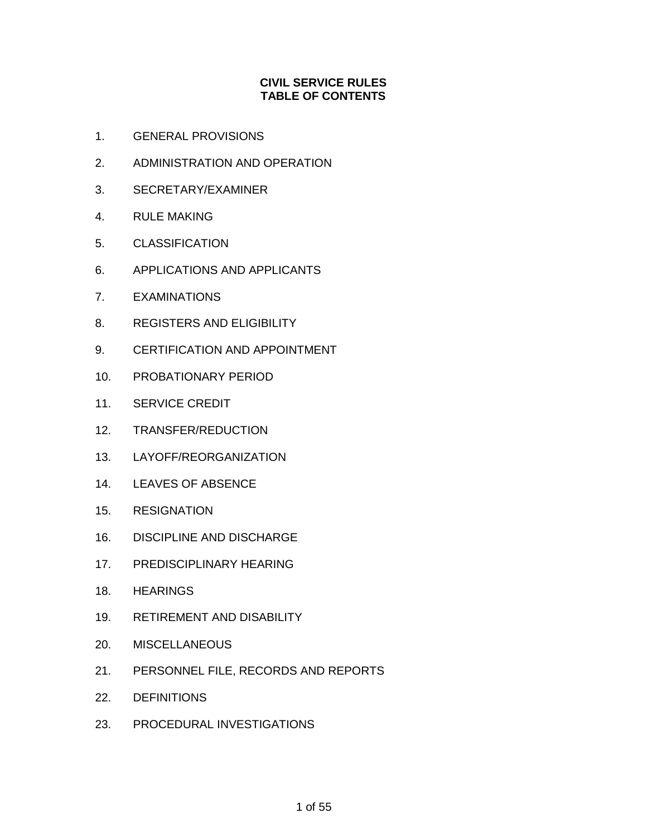# **CIVIL SERVICE RULES TABLE OF CONTENTS**

- 1. GENERAL PROVISIONS
- 2. ADMINISTRATION AND OPERATION
- 3. SECRETARY/EXAMINER
- 4. RULE MAKING
- 5. CLASSIFICATION
- 6. APPLICATIONS AND APPLICANTS
- 7. EXAMINATIONS
- 8. REGISTERS AND ELIGIBILITY
- 9. CERTIFICATION AND APPOINTMENT
- 10. PROBATIONARY PERIOD
- 11. SERVICE CREDIT
- 12. TRANSFER/REDUCTION
- 13. LAYOFF/REORGANIZATION
- 14. LEAVES OF ABSENCE
- 15. RESIGNATION
- 16. DISCIPLINE AND DISCHARGE
- 17. PREDISCIPLINARY HEARING
- 18. HEARINGS
- 19. RETIREMENT AND DISABILITY
- 20. MISCELLANEOUS
- 21. PERSONNEL FILE, RECORDS AND REPORTS
- 22. DEFINITIONS
- 23. PROCEDURAL INVESTIGATIONS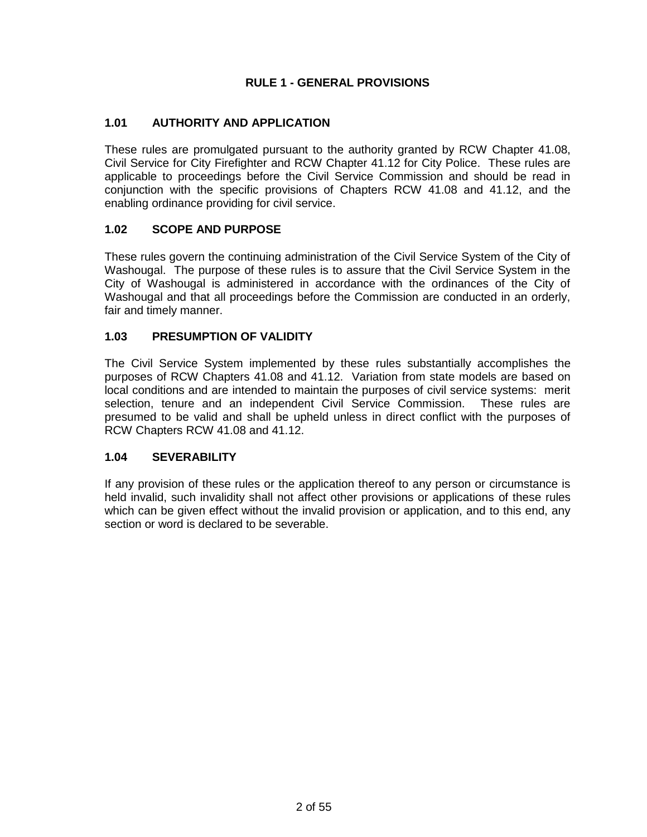# **RULE 1 - GENERAL PROVISIONS**

# **1.01 AUTHORITY AND APPLICATION**

These rules are promulgated pursuant to the authority granted by RCW Chapter 41.08, Civil Service for City Firefighter and RCW Chapter 41.12 for City Police. These rules are applicable to proceedings before the Civil Service Commission and should be read in conjunction with the specific provisions of Chapters RCW 41.08 and 41.12, and the enabling ordinance providing for civil service.

# **1.02 SCOPE AND PURPOSE**

These rules govern the continuing administration of the Civil Service System of the City of Washougal. The purpose of these rules is to assure that the Civil Service System in the City of Washougal is administered in accordance with the ordinances of the City of Washougal and that all proceedings before the Commission are conducted in an orderly, fair and timely manner.

# **1.03 PRESUMPTION OF VALIDITY**

The Civil Service System implemented by these rules substantially accomplishes the purposes of RCW Chapters 41.08 and 41.12. Variation from state models are based on local conditions and are intended to maintain the purposes of civil service systems: merit selection, tenure and an independent Civil Service Commission. These rules are presumed to be valid and shall be upheld unless in direct conflict with the purposes of RCW Chapters RCW 41.08 and 41.12.

# **1.04 SEVERABILITY**

If any provision of these rules or the application thereof to any person or circumstance is held invalid, such invalidity shall not affect other provisions or applications of these rules which can be given effect without the invalid provision or application, and to this end, any section or word is declared to be severable.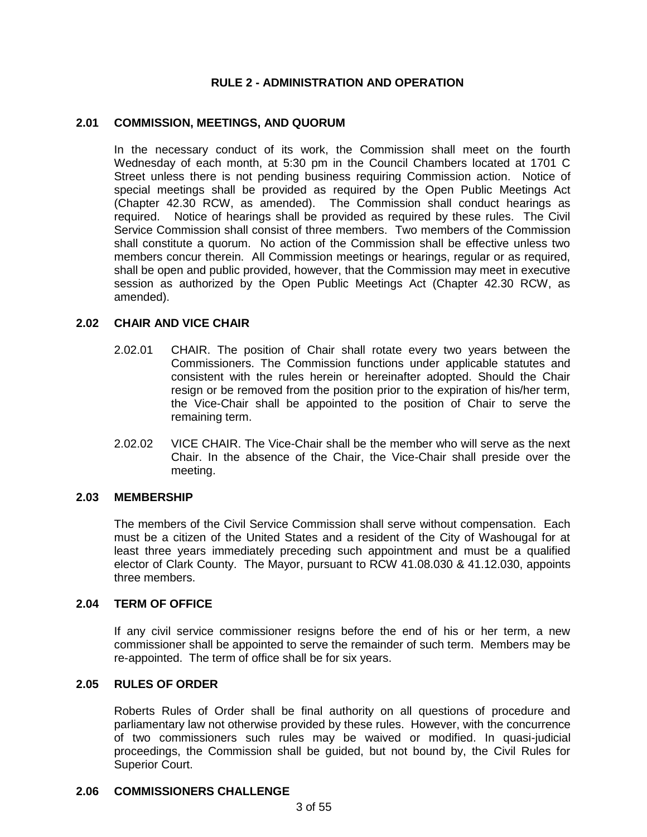### **RULE 2 - ADMINISTRATION AND OPERATION**

### **2.01 COMMISSION, MEETINGS, AND QUORUM**

In the necessary conduct of its work, the Commission shall meet on the fourth Wednesday of each month, at 5:30 pm in the Council Chambers located at 1701 C Street unless there is not pending business requiring Commission action. Notice of special meetings shall be provided as required by the Open Public Meetings Act (Chapter 42.30 RCW, as amended). The Commission shall conduct hearings as required. Notice of hearings shall be provided as required by these rules. The Civil Service Commission shall consist of three members. Two members of the Commission shall constitute a quorum. No action of the Commission shall be effective unless two members concur therein. All Commission meetings or hearings, regular or as required, shall be open and public provided, however, that the Commission may meet in executive session as authorized by the Open Public Meetings Act (Chapter 42.30 RCW, as amended).

#### **2.02 CHAIR AND VICE CHAIR**

- 2.02.01 CHAIR. The position of Chair shall rotate every two years between the Commissioners. The Commission functions under applicable statutes and consistent with the rules herein or hereinafter adopted. Should the Chair resign or be removed from the position prior to the expiration of his/her term, the Vice-Chair shall be appointed to the position of Chair to serve the remaining term.
- 2.02.02 VICE CHAIR. The Vice-Chair shall be the member who will serve as the next Chair. In the absence of the Chair, the Vice-Chair shall preside over the meeting.

#### **2.03 MEMBERSHIP**

The members of the Civil Service Commission shall serve without compensation. Each must be a citizen of the United States and a resident of the City of Washougal for at least three years immediately preceding such appointment and must be a qualified elector of Clark County. The Mayor, pursuant to RCW 41.08.030 & 41.12.030, appoints three members.

#### **2.04 TERM OF OFFICE**

If any civil service commissioner resigns before the end of his or her term, a new commissioner shall be appointed to serve the remainder of such term. Members may be re-appointed. The term of office shall be for six years.

#### **2.05 RULES OF ORDER**

Roberts Rules of Order shall be final authority on all questions of procedure and parliamentary law not otherwise provided by these rules. However, with the concurrence of two commissioners such rules may be waived or modified. In quasi-judicial proceedings, the Commission shall be guided, but not bound by, the Civil Rules for Superior Court.

### **2.06 COMMISSIONERS CHALLENGE**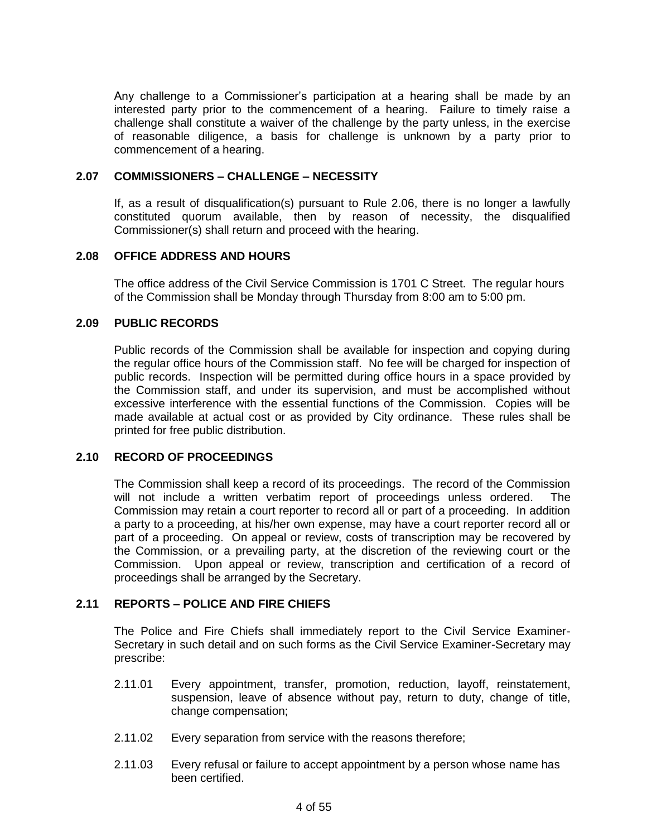Any challenge to a Commissioner's participation at a hearing shall be made by an interested party prior to the commencement of a hearing. Failure to timely raise a challenge shall constitute a waiver of the challenge by the party unless, in the exercise of reasonable diligence, a basis for challenge is unknown by a party prior to commencement of a hearing.

### **2.07 COMMISSIONERS – CHALLENGE – NECESSITY**

If, as a result of disqualification(s) pursuant to Rule 2.06, there is no longer a lawfully constituted quorum available, then by reason of necessity, the disqualified Commissioner(s) shall return and proceed with the hearing.

### **2.08 OFFICE ADDRESS AND HOURS**

The office address of the Civil Service Commission is 1701 C Street. The regular hours of the Commission shall be Monday through Thursday from 8:00 am to 5:00 pm.

# **2.09 PUBLIC RECORDS**

Public records of the Commission shall be available for inspection and copying during the regular office hours of the Commission staff. No fee will be charged for inspection of public records. Inspection will be permitted during office hours in a space provided by the Commission staff, and under its supervision, and must be accomplished without excessive interference with the essential functions of the Commission. Copies will be made available at actual cost or as provided by City ordinance. These rules shall be printed for free public distribution.

#### **2.10 RECORD OF PROCEEDINGS**

The Commission shall keep a record of its proceedings. The record of the Commission will not include a written verbatim report of proceedings unless ordered. The Commission may retain a court reporter to record all or part of a proceeding. In addition a party to a proceeding, at his/her own expense, may have a court reporter record all or part of a proceeding. On appeal or review, costs of transcription may be recovered by the Commission, or a prevailing party, at the discretion of the reviewing court or the Commission. Upon appeal or review, transcription and certification of a record of proceedings shall be arranged by the Secretary.

# **2.11 REPORTS – POLICE AND FIRE CHIEFS**

The Police and Fire Chiefs shall immediately report to the Civil Service Examiner-Secretary in such detail and on such forms as the Civil Service Examiner-Secretary may prescribe:

- 2.11.01 Every appointment, transfer, promotion, reduction, layoff, reinstatement, suspension, leave of absence without pay, return to duty, change of title, change compensation;
- 2.11.02 Every separation from service with the reasons therefore;
- 2.11.03 Every refusal or failure to accept appointment by a person whose name has been certified.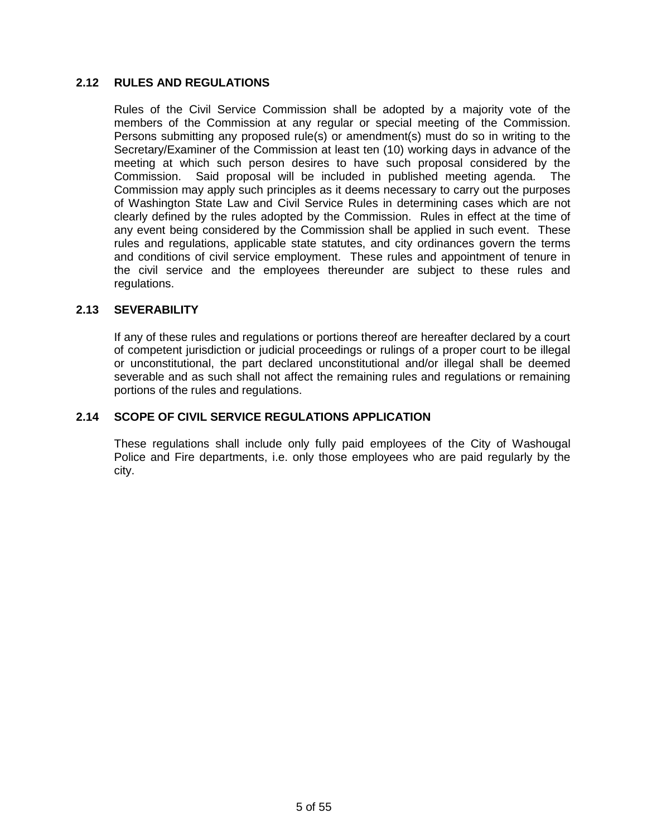# **2.12 RULES AND REGULATIONS**

Rules of the Civil Service Commission shall be adopted by a majority vote of the members of the Commission at any regular or special meeting of the Commission. Persons submitting any proposed rule(s) or amendment(s) must do so in writing to the Secretary/Examiner of the Commission at least ten (10) working days in advance of the meeting at which such person desires to have such proposal considered by the Commission. Said proposal will be included in published meeting agenda. The Commission may apply such principles as it deems necessary to carry out the purposes of Washington State Law and Civil Service Rules in determining cases which are not clearly defined by the rules adopted by the Commission. Rules in effect at the time of any event being considered by the Commission shall be applied in such event. These rules and regulations, applicable state statutes, and city ordinances govern the terms and conditions of civil service employment. These rules and appointment of tenure in the civil service and the employees thereunder are subject to these rules and regulations.

### **2.13 SEVERABILITY**

If any of these rules and regulations or portions thereof are hereafter declared by a court of competent jurisdiction or judicial proceedings or rulings of a proper court to be illegal or unconstitutional, the part declared unconstitutional and/or illegal shall be deemed severable and as such shall not affect the remaining rules and regulations or remaining portions of the rules and regulations.

### **2.14 SCOPE OF CIVIL SERVICE REGULATIONS APPLICATION**

These regulations shall include only fully paid employees of the City of Washougal Police and Fire departments, i.e. only those employees who are paid regularly by the city.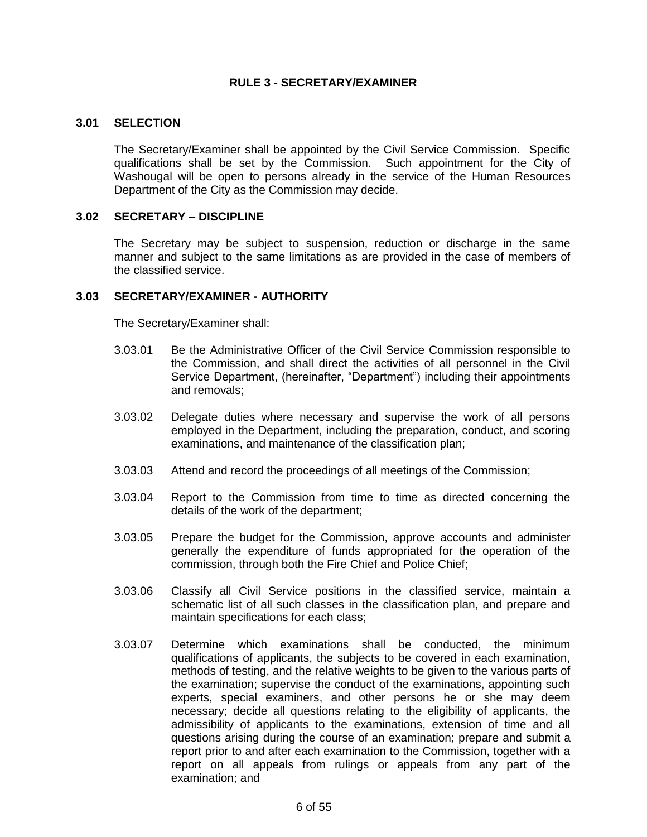#### **RULE 3 - SECRETARY/EXAMINER**

#### **3.01 SELECTION**

The Secretary/Examiner shall be appointed by the Civil Service Commission. Specific qualifications shall be set by the Commission. Such appointment for the City of Washougal will be open to persons already in the service of the Human Resources Department of the City as the Commission may decide.

### **3.02 SECRETARY – DISCIPLINE**

The Secretary may be subject to suspension, reduction or discharge in the same manner and subject to the same limitations as are provided in the case of members of the classified service.

#### **3.03 SECRETARY/EXAMINER - AUTHORITY**

The Secretary/Examiner shall:

- 3.03.01 Be the Administrative Officer of the Civil Service Commission responsible to the Commission, and shall direct the activities of all personnel in the Civil Service Department, (hereinafter, "Department") including their appointments and removals;
- 3.03.02 Delegate duties where necessary and supervise the work of all persons employed in the Department, including the preparation, conduct, and scoring examinations, and maintenance of the classification plan;
- 3.03.03 Attend and record the proceedings of all meetings of the Commission;
- 3.03.04 Report to the Commission from time to time as directed concerning the details of the work of the department;
- 3.03.05 Prepare the budget for the Commission, approve accounts and administer generally the expenditure of funds appropriated for the operation of the commission, through both the Fire Chief and Police Chief;
- 3.03.06 Classify all Civil Service positions in the classified service, maintain a schematic list of all such classes in the classification plan, and prepare and maintain specifications for each class;
- 3.03.07 Determine which examinations shall be conducted, the minimum qualifications of applicants, the subjects to be covered in each examination, methods of testing, and the relative weights to be given to the various parts of the examination; supervise the conduct of the examinations, appointing such experts, special examiners, and other persons he or she may deem necessary; decide all questions relating to the eligibility of applicants, the admissibility of applicants to the examinations, extension of time and all questions arising during the course of an examination; prepare and submit a report prior to and after each examination to the Commission, together with a report on all appeals from rulings or appeals from any part of the examination; and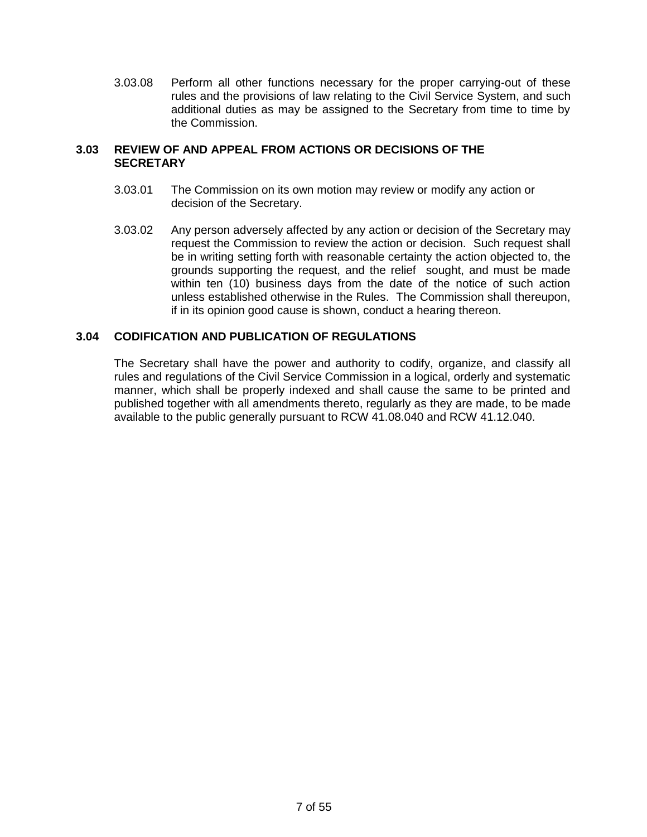3.03.08 Perform all other functions necessary for the proper carrying-out of these rules and the provisions of law relating to the Civil Service System, and such additional duties as may be assigned to the Secretary from time to time by the Commission.

# **3.03 REVIEW OF AND APPEAL FROM ACTIONS OR DECISIONS OF THE SECRETARY**

- 3.03.01 The Commission on its own motion may review or modify any action or decision of the Secretary.
- 3.03.02 Any person adversely affected by any action or decision of the Secretary may request the Commission to review the action or decision. Such request shall be in writing setting forth with reasonable certainty the action objected to, the grounds supporting the request, and the relief sought, and must be made within ten (10) business days from the date of the notice of such action unless established otherwise in the Rules. The Commission shall thereupon, if in its opinion good cause is shown, conduct a hearing thereon.

### **3.04 CODIFICATION AND PUBLICATION OF REGULATIONS**

The Secretary shall have the power and authority to codify, organize, and classify all rules and regulations of the Civil Service Commission in a logical, orderly and systematic manner, which shall be properly indexed and shall cause the same to be printed and published together with all amendments thereto, regularly as they are made, to be made available to the public generally pursuant to RCW 41.08.040 and RCW 41.12.040.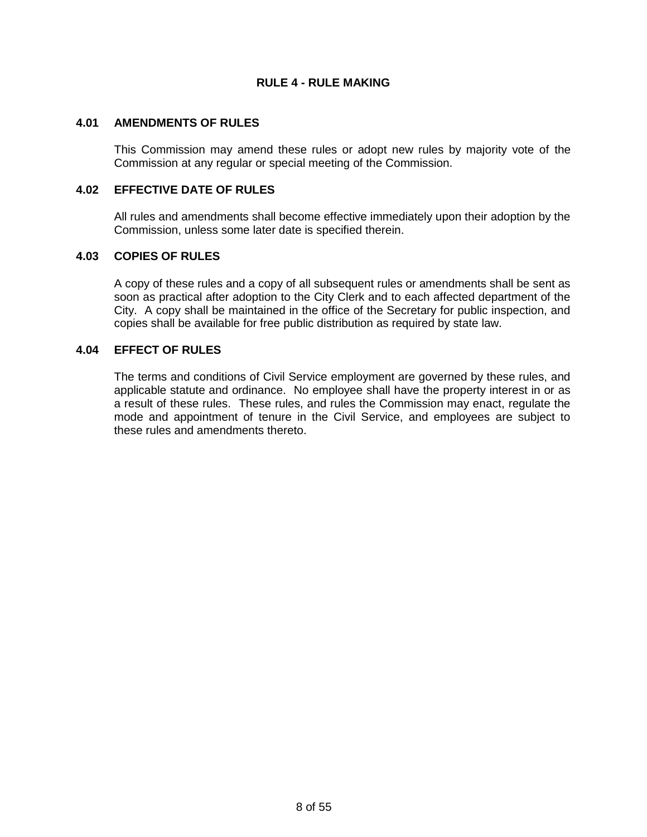### **RULE 4 - RULE MAKING**

### **4.01 AMENDMENTS OF RULES**

This Commission may amend these rules or adopt new rules by majority vote of the Commission at any regular or special meeting of the Commission.

### **4.02 EFFECTIVE DATE OF RULES**

All rules and amendments shall become effective immediately upon their adoption by the Commission, unless some later date is specified therein.

# **4.03 COPIES OF RULES**

A copy of these rules and a copy of all subsequent rules or amendments shall be sent as soon as practical after adoption to the City Clerk and to each affected department of the City. A copy shall be maintained in the office of the Secretary for public inspection, and copies shall be available for free public distribution as required by state law.

### **4.04 EFFECT OF RULES**

The terms and conditions of Civil Service employment are governed by these rules, and applicable statute and ordinance. No employee shall have the property interest in or as a result of these rules. These rules, and rules the Commission may enact, regulate the mode and appointment of tenure in the Civil Service, and employees are subject to these rules and amendments thereto.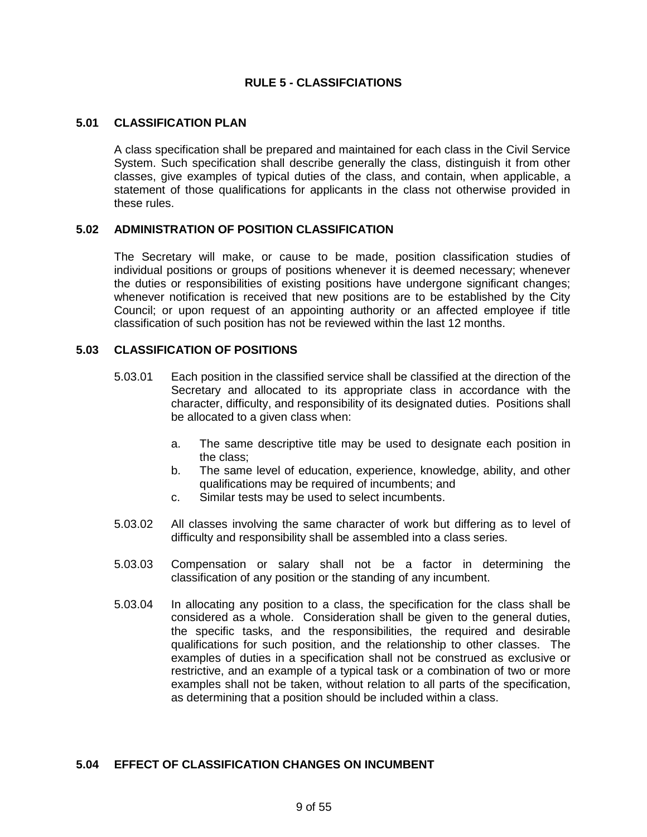# **RULE 5 - CLASSIFCIATIONS**

### **5.01 CLASSIFICATION PLAN**

A class specification shall be prepared and maintained for each class in the Civil Service System. Such specification shall describe generally the class, distinguish it from other classes, give examples of typical duties of the class, and contain, when applicable, a statement of those qualifications for applicants in the class not otherwise provided in these rules.

### **5.02 ADMINISTRATION OF POSITION CLASSIFICATION**

The Secretary will make, or cause to be made, position classification studies of individual positions or groups of positions whenever it is deemed necessary; whenever the duties or responsibilities of existing positions have undergone significant changes; whenever notification is received that new positions are to be established by the City Council; or upon request of an appointing authority or an affected employee if title classification of such position has not be reviewed within the last 12 months.

# **5.03 CLASSIFICATION OF POSITIONS**

- 5.03.01 Each position in the classified service shall be classified at the direction of the Secretary and allocated to its appropriate class in accordance with the character, difficulty, and responsibility of its designated duties. Positions shall be allocated to a given class when:
	- a. The same descriptive title may be used to designate each position in the class;
	- b. The same level of education, experience, knowledge, ability, and other qualifications may be required of incumbents; and
	- c. Similar tests may be used to select incumbents.
- 5.03.02 All classes involving the same character of work but differing as to level of difficulty and responsibility shall be assembled into a class series.
- 5.03.03 Compensation or salary shall not be a factor in determining the classification of any position or the standing of any incumbent.
- 5.03.04 In allocating any position to a class, the specification for the class shall be considered as a whole. Consideration shall be given to the general duties, the specific tasks, and the responsibilities, the required and desirable qualifications for such position, and the relationship to other classes. The examples of duties in a specification shall not be construed as exclusive or restrictive, and an example of a typical task or a combination of two or more examples shall not be taken, without relation to all parts of the specification, as determining that a position should be included within a class.

# **5.04 EFFECT OF CLASSIFICATION CHANGES ON INCUMBENT**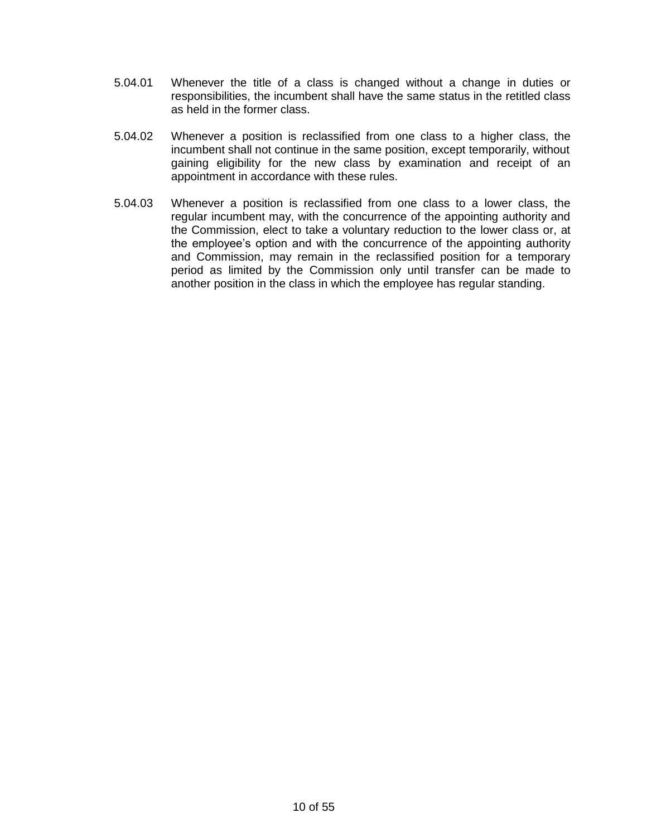- 5.04.01 Whenever the title of a class is changed without a change in duties or responsibilities, the incumbent shall have the same status in the retitled class as held in the former class.
- 5.04.02 Whenever a position is reclassified from one class to a higher class, the incumbent shall not continue in the same position, except temporarily, without gaining eligibility for the new class by examination and receipt of an appointment in accordance with these rules.
- 5.04.03 Whenever a position is reclassified from one class to a lower class, the regular incumbent may, with the concurrence of the appointing authority and the Commission, elect to take a voluntary reduction to the lower class or, at the employee's option and with the concurrence of the appointing authority and Commission, may remain in the reclassified position for a temporary period as limited by the Commission only until transfer can be made to another position in the class in which the employee has regular standing.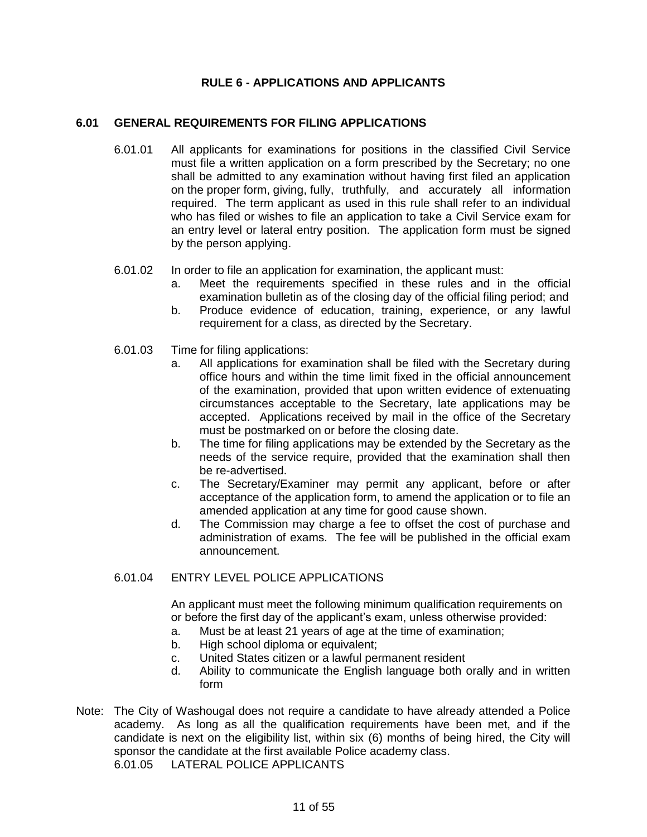# **RULE 6 - APPLICATIONS AND APPLICANTS**

# **6.01 GENERAL REQUIREMENTS FOR FILING APPLICATIONS**

- 6.01.01 All applicants for examinations for positions in the classified Civil Service must file a written application on a form prescribed by the Secretary; no one shall be admitted to any examination without having first filed an application on the proper form, giving, fully, truthfully, and accurately all information required. The term applicant as used in this rule shall refer to an individual who has filed or wishes to file an application to take a Civil Service exam for an entry level or lateral entry position. The application form must be signed by the person applying.
- 6.01.02 In order to file an application for examination, the applicant must:
	- a. Meet the requirements specified in these rules and in the official examination bulletin as of the closing day of the official filing period; and
	- b. Produce evidence of education, training, experience, or any lawful requirement for a class, as directed by the Secretary.
- 6.01.03 Time for filing applications:
	- a. All applications for examination shall be filed with the Secretary during office hours and within the time limit fixed in the official announcement of the examination, provided that upon written evidence of extenuating circumstances acceptable to the Secretary, late applications may be accepted. Applications received by mail in the office of the Secretary must be postmarked on or before the closing date.
	- b. The time for filing applications may be extended by the Secretary as the needs of the service require, provided that the examination shall then be re-advertised.
	- c. The Secretary/Examiner may permit any applicant, before or after acceptance of the application form, to amend the application or to file an amended application at any time for good cause shown.
	- d. The Commission may charge a fee to offset the cost of purchase and administration of exams. The fee will be published in the official exam announcement.

# 6.01.04 ENTRY LEVEL POLICE APPLICATIONS

An applicant must meet the following minimum qualification requirements on or before the first day of the applicant's exam, unless otherwise provided:

- a. Must be at least 21 years of age at the time of examination;
- b. High school diploma or equivalent;
- c. United States citizen or a lawful permanent resident
- d. Ability to communicate the English language both orally and in written form
- Note: The City of Washougal does not require a candidate to have already attended a Police academy. As long as all the qualification requirements have been met, and if the candidate is next on the eligibility list, within six (6) months of being hired, the City will sponsor the candidate at the first available Police academy class. 6.01.05 LATERAL POLICE APPLICANTS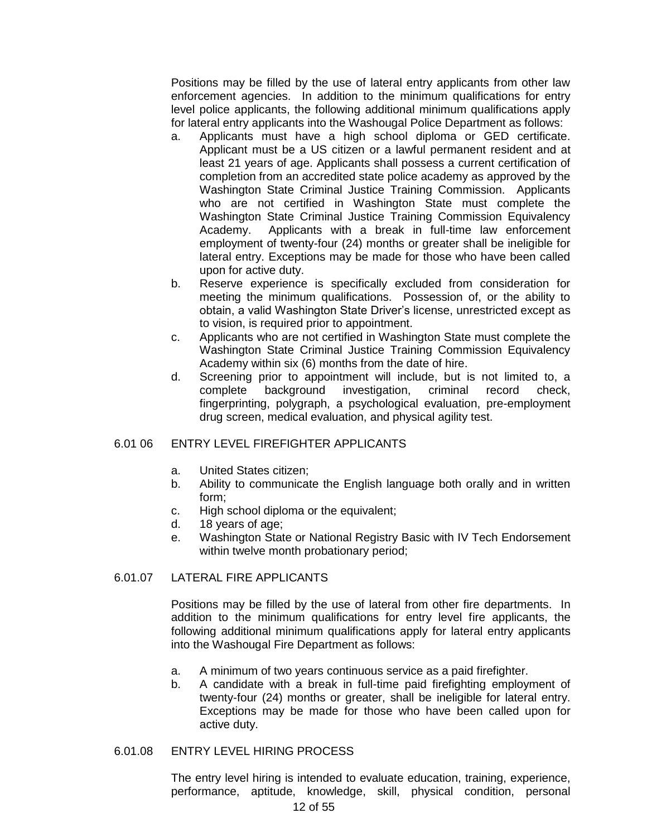Positions may be filled by the use of lateral entry applicants from other law enforcement agencies. In addition to the minimum qualifications for entry level police applicants, the following additional minimum qualifications apply for lateral entry applicants into the Washougal Police Department as follows:

- a. Applicants must have a high school diploma or GED certificate. Applicant must be a US citizen or a lawful permanent resident and at least 21 years of age. Applicants shall possess a current certification of completion from an accredited state police academy as approved by the Washington State Criminal Justice Training Commission. Applicants who are not certified in Washington State must complete the Washington State Criminal Justice Training Commission Equivalency Academy. Applicants with a break in full-time law enforcement employment of twenty-four (24) months or greater shall be ineligible for lateral entry. Exceptions may be made for those who have been called upon for active duty.
- b. Reserve experience is specifically excluded from consideration for meeting the minimum qualifications. Possession of, or the ability to obtain, a valid Washington State Driver's license, unrestricted except as to vision, is required prior to appointment.
- c. Applicants who are not certified in Washington State must complete the Washington State Criminal Justice Training Commission Equivalency Academy within six (6) months from the date of hire.
- d. Screening prior to appointment will include, but is not limited to, a complete background investigation, criminal record check, fingerprinting, polygraph, a psychological evaluation, pre-employment drug screen, medical evaluation, and physical agility test.

# 6.01 06 ENTRY LEVEL FIREFIGHTER APPLICANTS

- a. United States citizen;
- b. Ability to communicate the English language both orally and in written form;
- c. High school diploma or the equivalent;
- d. 18 years of age;
- e. Washington State or National Registry Basic with IV Tech Endorsement within twelve month probationary period;

#### 6.01.07 LATERAL FIRE APPLICANTS

Positions may be filled by the use of lateral from other fire departments. In addition to the minimum qualifications for entry level fire applicants, the following additional minimum qualifications apply for lateral entry applicants into the Washougal Fire Department as follows:

- a. A minimum of two years continuous service as a paid firefighter.
- b. A candidate with a break in full-time paid firefighting employment of twenty-four (24) months or greater, shall be ineligible for lateral entry. Exceptions may be made for those who have been called upon for active duty.

#### 6.01.08 ENTRY LEVEL HIRING PROCESS

The entry level hiring is intended to evaluate education, training, experience, performance, aptitude, knowledge, skill, physical condition, personal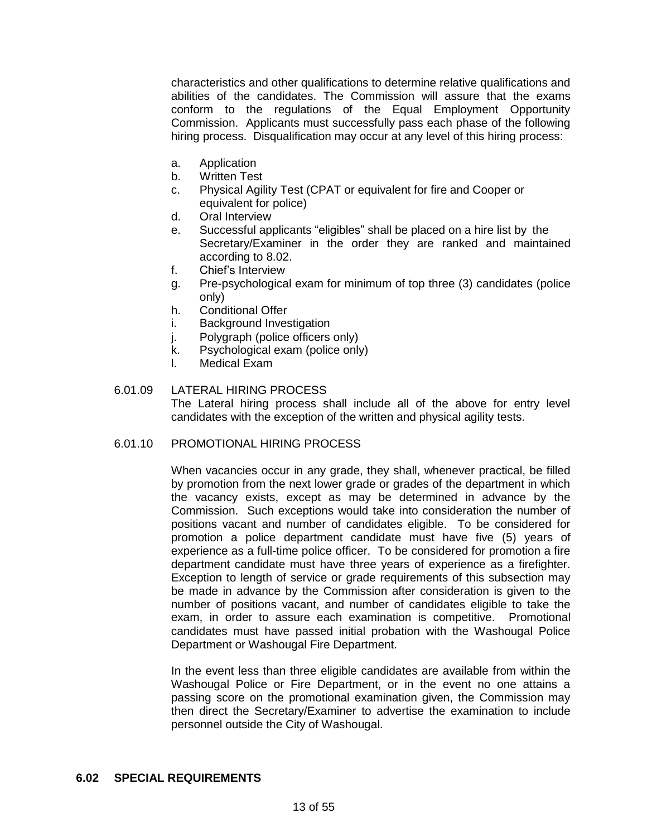characteristics and other qualifications to determine relative qualifications and abilities of the candidates. The Commission will assure that the exams conform to the regulations of the Equal Employment Opportunity Commission. Applicants must successfully pass each phase of the following hiring process. Disqualification may occur at any level of this hiring process:

- a. Application
- b. Written Test
- c. Physical Agility Test (CPAT or equivalent for fire and Cooper or equivalent for police)
- d. Oral Interview
- e. Successful applicants "eligibles" shall be placed on a hire list by the Secretary/Examiner in the order they are ranked and maintained according to 8.02.
- f. Chief's Interview
- g. Pre-psychological exam for minimum of top three (3) candidates (police only)
- h. Conditional Offer
- i. Background Investigation
- j. Polygraph (police officers only)
- k. Psychological exam (police only)
- l. Medical Exam

### 6.01.09 LATERAL HIRING PROCESS

The Lateral hiring process shall include all of the above for entry level candidates with the exception of the written and physical agility tests.

### 6.01.10 PROMOTIONAL HIRING PROCESS

When vacancies occur in any grade, they shall, whenever practical, be filled by promotion from the next lower grade or grades of the department in which the vacancy exists, except as may be determined in advance by the Commission. Such exceptions would take into consideration the number of positions vacant and number of candidates eligible. To be considered for promotion a police department candidate must have five (5) years of experience as a full-time police officer. To be considered for promotion a fire department candidate must have three years of experience as a firefighter. Exception to length of service or grade requirements of this subsection may be made in advance by the Commission after consideration is given to the number of positions vacant, and number of candidates eligible to take the exam, in order to assure each examination is competitive. Promotional candidates must have passed initial probation with the Washougal Police Department or Washougal Fire Department.

In the event less than three eligible candidates are available from within the Washougal Police or Fire Department, or in the event no one attains a passing score on the promotional examination given, the Commission may then direct the Secretary/Examiner to advertise the examination to include personnel outside the City of Washougal.

#### **6.02 SPECIAL REQUIREMENTS**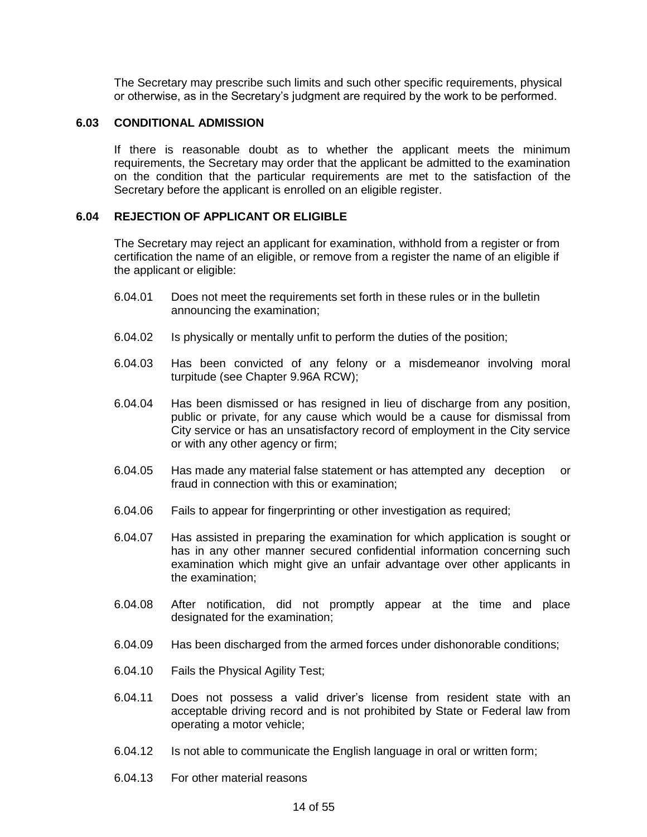The Secretary may prescribe such limits and such other specific requirements, physical or otherwise, as in the Secretary's judgment are required by the work to be performed.

# **6.03 CONDITIONAL ADMISSION**

If there is reasonable doubt as to whether the applicant meets the minimum requirements, the Secretary may order that the applicant be admitted to the examination on the condition that the particular requirements are met to the satisfaction of the Secretary before the applicant is enrolled on an eligible register.

### **6.04 REJECTION OF APPLICANT OR ELIGIBLE**

The Secretary may reject an applicant for examination, withhold from a register or from certification the name of an eligible, or remove from a register the name of an eligible if the applicant or eligible:

- 6.04.01 Does not meet the requirements set forth in these rules or in the bulletin announcing the examination;
- 6.04.02 Is physically or mentally unfit to perform the duties of the position;
- 6.04.03 Has been convicted of any felony or a misdemeanor involving moral turpitude (see Chapter 9.96A RCW);
- 6.04.04 Has been dismissed or has resigned in lieu of discharge from any position, public or private, for any cause which would be a cause for dismissal from City service or has an unsatisfactory record of employment in the City service or with any other agency or firm;
- 6.04.05 Has made any material false statement or has attempted any deception or fraud in connection with this or examination;
- 6.04.06 Fails to appear for fingerprinting or other investigation as required;
- 6.04.07 Has assisted in preparing the examination for which application is sought or has in any other manner secured confidential information concerning such examination which might give an unfair advantage over other applicants in the examination;
- 6.04.08 After notification, did not promptly appear at the time and place designated for the examination;
- 6.04.09 Has been discharged from the armed forces under dishonorable conditions;
- 6.04.10 Fails the Physical Agility Test;
- 6.04.11 Does not possess a valid driver's license from resident state with an acceptable driving record and is not prohibited by State or Federal law from operating a motor vehicle;
- 6.04.12 Is not able to communicate the English language in oral or written form;
- 6.04.13 For other material reasons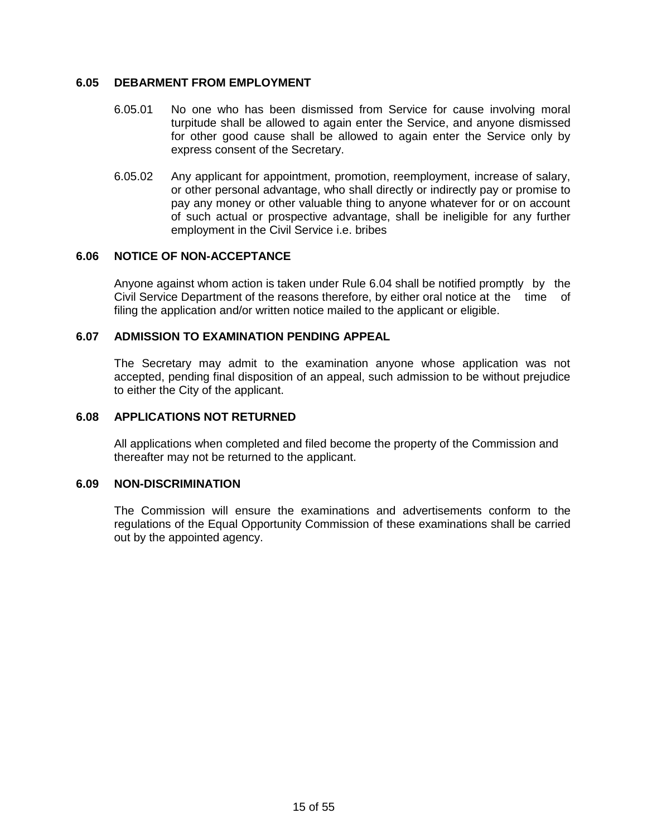### **6.05 DEBARMENT FROM EMPLOYMENT**

- 6.05.01 No one who has been dismissed from Service for cause involving moral turpitude shall be allowed to again enter the Service, and anyone dismissed for other good cause shall be allowed to again enter the Service only by express consent of the Secretary.
- 6.05.02 Any applicant for appointment, promotion, reemployment, increase of salary, or other personal advantage, who shall directly or indirectly pay or promise to pay any money or other valuable thing to anyone whatever for or on account of such actual or prospective advantage, shall be ineligible for any further employment in the Civil Service i.e. bribes

### **6.06 NOTICE OF NON-ACCEPTANCE**

Anyone against whom action is taken under Rule 6.04 shall be notified promptly by the Civil Service Department of the reasons therefore, by either oral notice at the time of filing the application and/or written notice mailed to the applicant or eligible.

### **6.07 ADMISSION TO EXAMINATION PENDING APPEAL**

The Secretary may admit to the examination anyone whose application was not accepted, pending final disposition of an appeal, such admission to be without prejudice to either the City of the applicant.

### **6.08 APPLICATIONS NOT RETURNED**

All applications when completed and filed become the property of the Commission and thereafter may not be returned to the applicant.

### **6.09 NON-DISCRIMINATION**

The Commission will ensure the examinations and advertisements conform to the regulations of the Equal Opportunity Commission of these examinations shall be carried out by the appointed agency.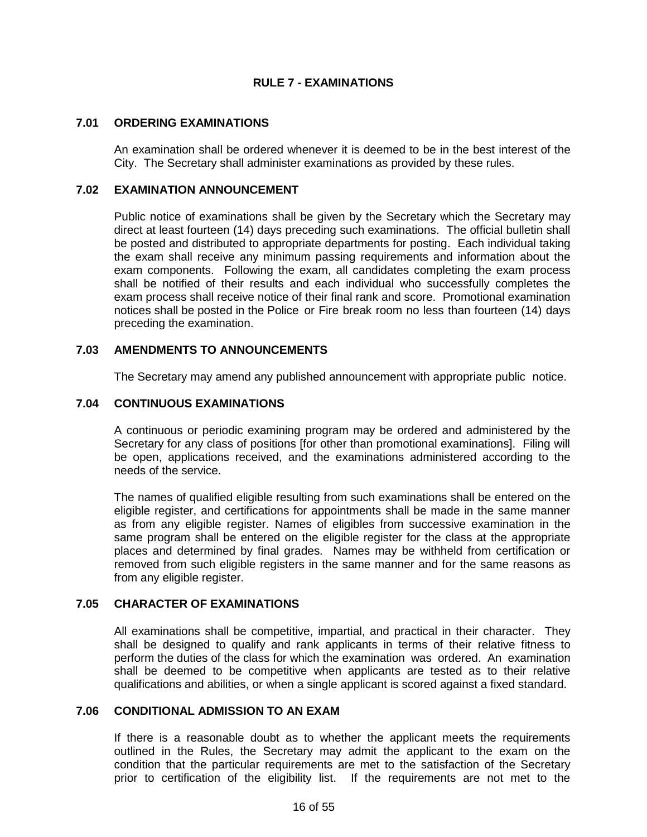# **RULE 7 - EXAMINATIONS**

### **7.01 ORDERING EXAMINATIONS**

An examination shall be ordered whenever it is deemed to be in the best interest of the City. The Secretary shall administer examinations as provided by these rules.

### **7.02 EXAMINATION ANNOUNCEMENT**

Public notice of examinations shall be given by the Secretary which the Secretary may direct at least fourteen (14) days preceding such examinations. The official bulletin shall be posted and distributed to appropriate departments for posting. Each individual taking the exam shall receive any minimum passing requirements and information about the exam components. Following the exam, all candidates completing the exam process shall be notified of their results and each individual who successfully completes the exam process shall receive notice of their final rank and score. Promotional examination notices shall be posted in the Police or Fire break room no less than fourteen (14) days preceding the examination.

# **7.03 AMENDMENTS TO ANNOUNCEMENTS**

The Secretary may amend any published announcement with appropriate public notice.

# **7.04 CONTINUOUS EXAMINATIONS**

A continuous or periodic examining program may be ordered and administered by the Secretary for any class of positions [for other than promotional examinations]. Filing will be open, applications received, and the examinations administered according to the needs of the service.

The names of qualified eligible resulting from such examinations shall be entered on the eligible register, and certifications for appointments shall be made in the same manner as from any eligible register. Names of eligibles from successive examination in the same program shall be entered on the eligible register for the class at the appropriate places and determined by final grades. Names may be withheld from certification or removed from such eligible registers in the same manner and for the same reasons as from any eligible register.

#### **7.05 CHARACTER OF EXAMINATIONS**

All examinations shall be competitive, impartial, and practical in their character. They shall be designed to qualify and rank applicants in terms of their relative fitness to perform the duties of the class for which the examination was ordered. An examination shall be deemed to be competitive when applicants are tested as to their relative qualifications and abilities, or when a single applicant is scored against a fixed standard.

# **7.06 CONDITIONAL ADMISSION TO AN EXAM**

If there is a reasonable doubt as to whether the applicant meets the requirements outlined in the Rules, the Secretary may admit the applicant to the exam on the condition that the particular requirements are met to the satisfaction of the Secretary prior to certification of the eligibility list. If the requirements are not met to the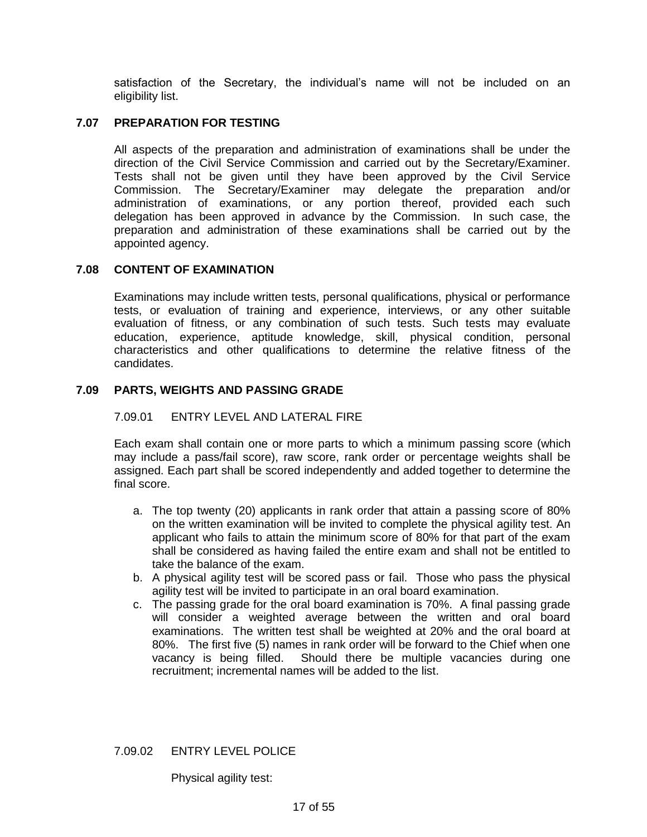satisfaction of the Secretary, the individual's name will not be included on an eligibility list.

# **7.07 PREPARATION FOR TESTING**

All aspects of the preparation and administration of examinations shall be under the direction of the Civil Service Commission and carried out by the Secretary/Examiner. Tests shall not be given until they have been approved by the Civil Service Commission. The Secretary/Examiner may delegate the preparation and/or administration of examinations, or any portion thereof, provided each such delegation has been approved in advance by the Commission. In such case, the preparation and administration of these examinations shall be carried out by the appointed agency.

### **7.08 CONTENT OF EXAMINATION**

Examinations may include written tests, personal qualifications, physical or performance tests, or evaluation of training and experience, interviews, or any other suitable evaluation of fitness, or any combination of such tests. Such tests may evaluate education, experience, aptitude knowledge, skill, physical condition, personal characteristics and other qualifications to determine the relative fitness of the candidates.

# **7.09 PARTS, WEIGHTS AND PASSING GRADE**

### 7.09.01 ENTRY LEVEL AND LATERAL FIRE

Each exam shall contain one or more parts to which a minimum passing score (which may include a pass/fail score), raw score, rank order or percentage weights shall be assigned. Each part shall be scored independently and added together to determine the final score.

- a. The top twenty (20) applicants in rank order that attain a passing score of 80% on the written examination will be invited to complete the physical agility test. An applicant who fails to attain the minimum score of 80% for that part of the exam shall be considered as having failed the entire exam and shall not be entitled to take the balance of the exam.
- b. A physical agility test will be scored pass or fail. Those who pass the physical agility test will be invited to participate in an oral board examination.
- c. The passing grade for the oral board examination is 70%. A final passing grade will consider a weighted average between the written and oral board examinations. The written test shall be weighted at 20% and the oral board at 80%. The first five (5) names in rank order will be forward to the Chief when one vacancy is being filled. Should there be multiple vacancies during one recruitment; incremental names will be added to the list.

#### 7.09.02 ENTRY LEVEL POLICE

Physical agility test: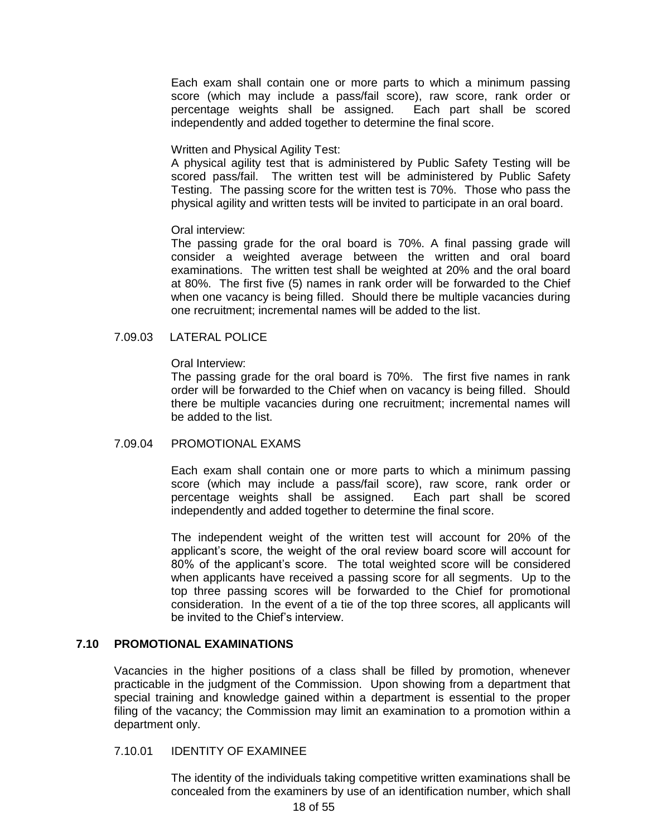Each exam shall contain one or more parts to which a minimum passing score (which may include a pass/fail score), raw score, rank order or percentage weights shall be assigned. Each part shall be scored independently and added together to determine the final score.

#### Written and Physical Agility Test:

A physical agility test that is administered by Public Safety Testing will be scored pass/fail. The written test will be administered by Public Safety Testing. The passing score for the written test is 70%. Those who pass the physical agility and written tests will be invited to participate in an oral board.

#### Oral interview:

The passing grade for the oral board is 70%. A final passing grade will consider a weighted average between the written and oral board examinations. The written test shall be weighted at 20% and the oral board at 80%. The first five (5) names in rank order will be forwarded to the Chief when one vacancy is being filled. Should there be multiple vacancies during one recruitment; incremental names will be added to the list.

#### 7.09.03 LATERAL POLICE

#### Oral Interview:

The passing grade for the oral board is 70%. The first five names in rank order will be forwarded to the Chief when on vacancy is being filled. Should there be multiple vacancies during one recruitment; incremental names will be added to the list.

#### 7.09.04 PROMOTIONAL EXAMS

Each exam shall contain one or more parts to which a minimum passing score (which may include a pass/fail score), raw score, rank order or percentage weights shall be assigned. Each part shall be scored independently and added together to determine the final score.

The independent weight of the written test will account for 20% of the applicant's score, the weight of the oral review board score will account for 80% of the applicant's score. The total weighted score will be considered when applicants have received a passing score for all segments. Up to the top three passing scores will be forwarded to the Chief for promotional consideration. In the event of a tie of the top three scores, all applicants will be invited to the Chief's interview.

### **7.10 PROMOTIONAL EXAMINATIONS**

Vacancies in the higher positions of a class shall be filled by promotion, whenever practicable in the judgment of the Commission. Upon showing from a department that special training and knowledge gained within a department is essential to the proper filing of the vacancy; the Commission may limit an examination to a promotion within a department only.

#### 7.10.01 IDENTITY OF EXAMINEE

The identity of the individuals taking competitive written examinations shall be concealed from the examiners by use of an identification number, which shall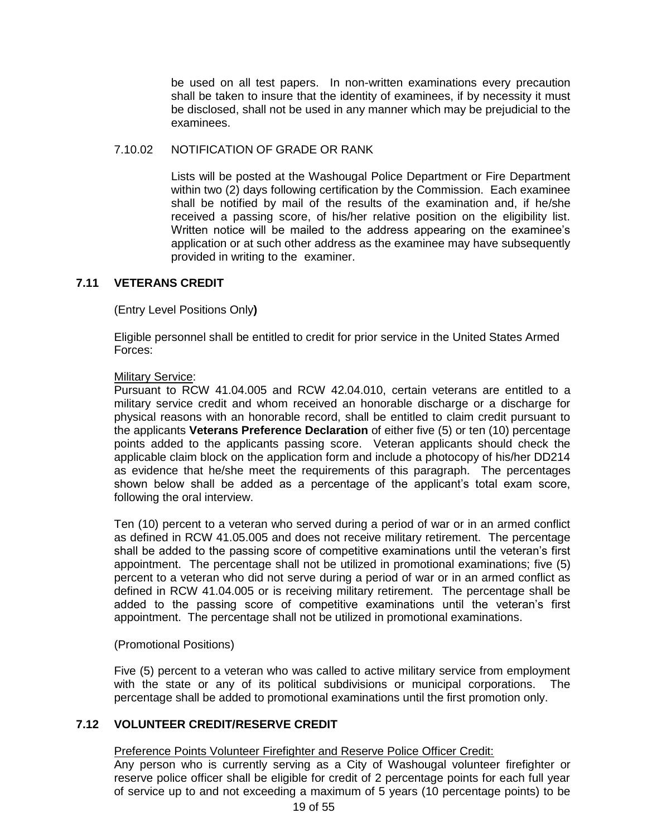be used on all test papers. In non-written examinations every precaution shall be taken to insure that the identity of examinees, if by necessity it must be disclosed, shall not be used in any manner which may be prejudicial to the examinees.

### 7.10.02 NOTIFICATION OF GRADE OR RANK

Lists will be posted at the Washougal Police Department or Fire Department within two (2) days following certification by the Commission. Each examinee shall be notified by mail of the results of the examination and, if he/she received a passing score, of his/her relative position on the eligibility list. Written notice will be mailed to the address appearing on the examinee's application or at such other address as the examinee may have subsequently provided in writing to the examiner.

# **7.11 VETERANS CREDIT**

(Entry Level Positions Only**)**

Eligible personnel shall be entitled to credit for prior service in the United States Armed Forces:

#### Military Service:

Pursuant to RCW 41.04.005 and RCW 42.04.010, certain veterans are entitled to a military service credit and whom received an honorable discharge or a discharge for physical reasons with an honorable record, shall be entitled to claim credit pursuant to the applicants **Veterans Preference Declaration** of either five (5) or ten (10) percentage points added to the applicants passing score. Veteran applicants should check the applicable claim block on the application form and include a photocopy of his/her DD214 as evidence that he/she meet the requirements of this paragraph. The percentages shown below shall be added as a percentage of the applicant's total exam score, following the oral interview.

Ten (10) percent to a veteran who served during a period of war or in an armed conflict as defined in RCW 41.05.005 and does not receive military retirement. The percentage shall be added to the passing score of competitive examinations until the veteran's first appointment. The percentage shall not be utilized in promotional examinations; five (5) percent to a veteran who did not serve during a period of war or in an armed conflict as defined in RCW 41.04.005 or is receiving military retirement. The percentage shall be added to the passing score of competitive examinations until the veteran's first appointment. The percentage shall not be utilized in promotional examinations.

(Promotional Positions)

Five (5) percent to a veteran who was called to active military service from employment with the state or any of its political subdivisions or municipal corporations. The percentage shall be added to promotional examinations until the first promotion only.

# **7.12 VOLUNTEER CREDIT/RESERVE CREDIT**

# Preference Points Volunteer Firefighter and Reserve Police Officer Credit:

Any person who is currently serving as a City of Washougal volunteer firefighter or reserve police officer shall be eligible for credit of 2 percentage points for each full year of service up to and not exceeding a maximum of 5 years (10 percentage points) to be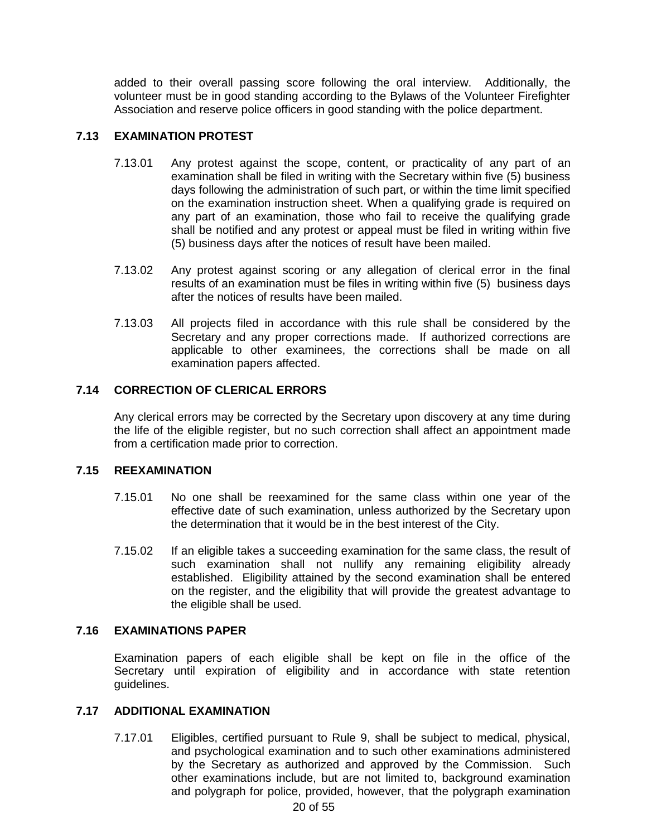added to their overall passing score following the oral interview. Additionally, the volunteer must be in good standing according to the Bylaws of the Volunteer Firefighter Association and reserve police officers in good standing with the police department.

# **7.13 EXAMINATION PROTEST**

- 7.13.01 Any protest against the scope, content, or practicality of any part of an examination shall be filed in writing with the Secretary within five (5) business days following the administration of such part, or within the time limit specified on the examination instruction sheet. When a qualifying grade is required on any part of an examination, those who fail to receive the qualifying grade shall be notified and any protest or appeal must be filed in writing within five (5) business days after the notices of result have been mailed.
- 7.13.02 Any protest against scoring or any allegation of clerical error in the final results of an examination must be files in writing within five (5) business days after the notices of results have been mailed.
- 7.13.03 All projects filed in accordance with this rule shall be considered by the Secretary and any proper corrections made. If authorized corrections are applicable to other examinees, the corrections shall be made on all examination papers affected.

# **7.14 CORRECTION OF CLERICAL ERRORS**

Any clerical errors may be corrected by the Secretary upon discovery at any time during the life of the eligible register, but no such correction shall affect an appointment made from a certification made prior to correction.

# **7.15 REEXAMINATION**

- 7.15.01 No one shall be reexamined for the same class within one year of the effective date of such examination, unless authorized by the Secretary upon the determination that it would be in the best interest of the City.
- 7.15.02 If an eligible takes a succeeding examination for the same class, the result of such examination shall not nullify any remaining eligibility already established. Eligibility attained by the second examination shall be entered on the register, and the eligibility that will provide the greatest advantage to the eligible shall be used.

#### **7.16 EXAMINATIONS PAPER**

Examination papers of each eligible shall be kept on file in the office of the Secretary until expiration of eligibility and in accordance with state retention guidelines.

# **7.17 ADDITIONAL EXAMINATION**

7.17.01 Eligibles, certified pursuant to Rule 9, shall be subject to medical, physical, and psychological examination and to such other examinations administered by the Secretary as authorized and approved by the Commission. Such other examinations include, but are not limited to, background examination and polygraph for police, provided, however, that the polygraph examination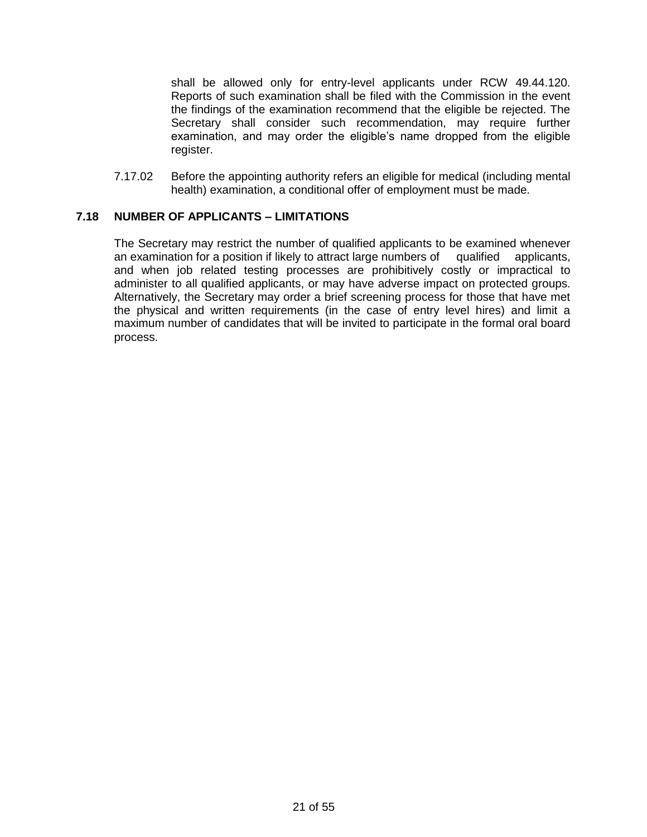shall be allowed only for entry-level applicants under RCW 49.44.120. Reports of such examination shall be filed with the Commission in the event the findings of the examination recommend that the eligible be rejected. The Secretary shall consider such recommendation, may require further examination, and may order the eligible's name dropped from the eligible register.

7.17.02 Before the appointing authority refers an eligible for medical (including mental health) examination, a conditional offer of employment must be made.

### **7.18 NUMBER OF APPLICANTS – LIMITATIONS**

The Secretary may restrict the number of qualified applicants to be examined whenever an examination for a position if likely to attract large numbers of qualified applicants, and when job related testing processes are prohibitively costly or impractical to administer to all qualified applicants, or may have adverse impact on protected groups. Alternatively, the Secretary may order a brief screening process for those that have met the physical and written requirements (in the case of entry level hires) and limit a maximum number of candidates that will be invited to participate in the formal oral board process.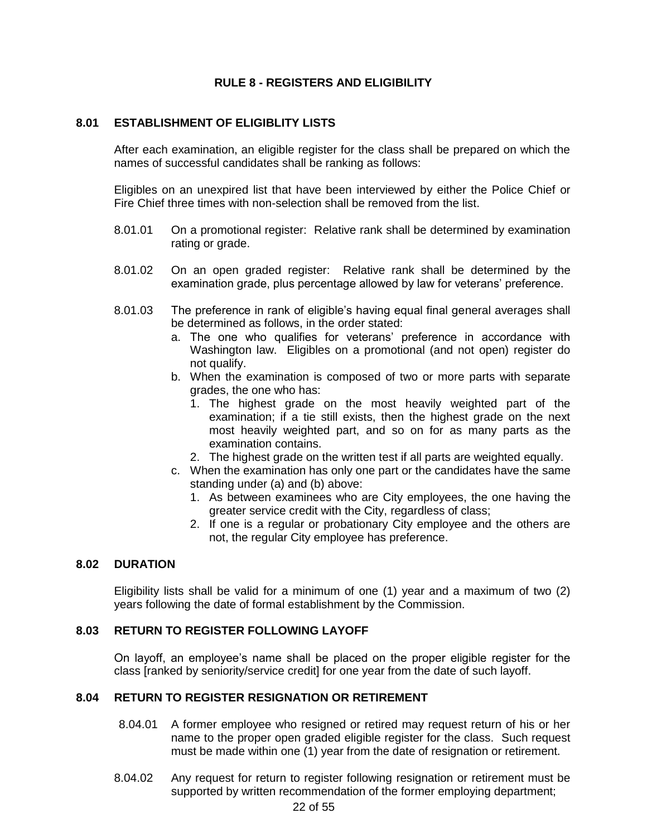# **RULE 8 - REGISTERS AND ELIGIBILITY**

### **8.01 ESTABLISHMENT OF ELIGIBLITY LISTS**

After each examination, an eligible register for the class shall be prepared on which the names of successful candidates shall be ranking as follows:

Eligibles on an unexpired list that have been interviewed by either the Police Chief or Fire Chief three times with non-selection shall be removed from the list.

- 8.01.01 On a promotional register: Relative rank shall be determined by examination rating or grade.
- 8.01.02 On an open graded register: Relative rank shall be determined by the examination grade, plus percentage allowed by law for veterans' preference.
- 8.01.03 The preference in rank of eligible's having equal final general averages shall be determined as follows, in the order stated:
	- a. The one who qualifies for veterans' preference in accordance with Washington law. Eligibles on a promotional (and not open) register do not qualify.
	- b. When the examination is composed of two or more parts with separate grades, the one who has:
		- 1. The highest grade on the most heavily weighted part of the examination; if a tie still exists, then the highest grade on the next most heavily weighted part, and so on for as many parts as the examination contains.
		- 2. The highest grade on the written test if all parts are weighted equally.
	- c. When the examination has only one part or the candidates have the same standing under (a) and (b) above:
		- 1. As between examinees who are City employees, the one having the greater service credit with the City, regardless of class;
		- 2. If one is a regular or probationary City employee and the others are not, the regular City employee has preference.

# **8.02 DURATION**

Eligibility lists shall be valid for a minimum of one (1) year and a maximum of two (2) years following the date of formal establishment by the Commission.

#### **8.03 RETURN TO REGISTER FOLLOWING LAYOFF**

On layoff, an employee's name shall be placed on the proper eligible register for the class [ranked by seniority/service credit] for one year from the date of such layoff.

# **8.04 RETURN TO REGISTER RESIGNATION OR RETIREMENT**

- 8.04.01 A former employee who resigned or retired may request return of his or her name to the proper open graded eligible register for the class. Such request must be made within one (1) year from the date of resignation or retirement.
- 8.04.02 Any request for return to register following resignation or retirement must be supported by written recommendation of the former employing department;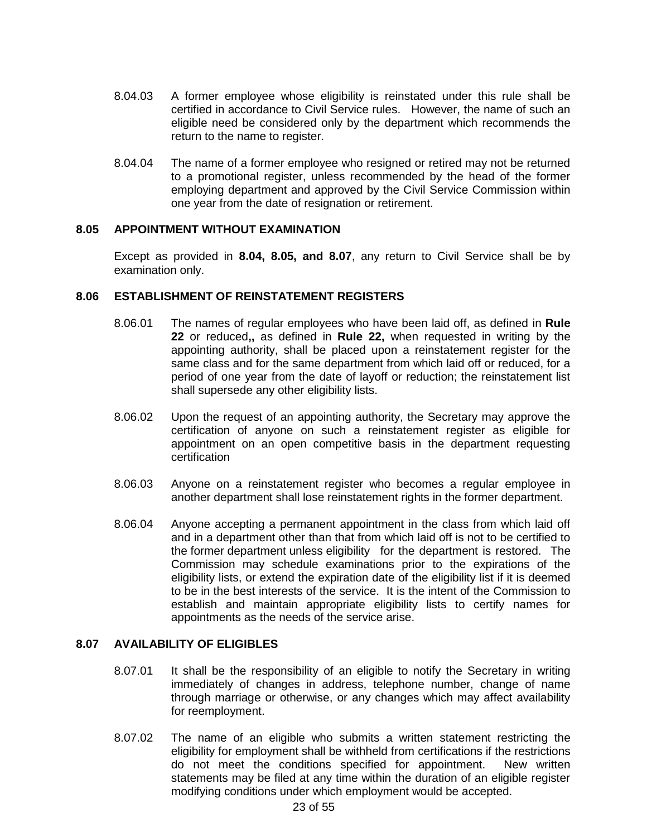- 8.04.03 A former employee whose eligibility is reinstated under this rule shall be certified in accordance to Civil Service rules. However, the name of such an eligible need be considered only by the department which recommends the return to the name to register.
- 8.04.04 The name of a former employee who resigned or retired may not be returned to a promotional register, unless recommended by the head of the former employing department and approved by the Civil Service Commission within one year from the date of resignation or retirement.

#### **8.05 APPOINTMENT WITHOUT EXAMINATION**

Except as provided in **8.04, 8.05, and 8.07**, any return to Civil Service shall be by examination only.

#### **8.06 ESTABLISHMENT OF REINSTATEMENT REGISTERS**

- 8.06.01 The names of regular employees who have been laid off, as defined in **Rule 22** or reduced**,,** as defined in **Rule 22,** when requested in writing by the appointing authority, shall be placed upon a reinstatement register for the same class and for the same department from which laid off or reduced, for a period of one year from the date of layoff or reduction; the reinstatement list shall supersede any other eligibility lists.
- 8.06.02 Upon the request of an appointing authority, the Secretary may approve the certification of anyone on such a reinstatement register as eligible for appointment on an open competitive basis in the department requesting certification
- 8.06.03 Anyone on a reinstatement register who becomes a regular employee in another department shall lose reinstatement rights in the former department.
- 8.06.04 Anyone accepting a permanent appointment in the class from which laid off and in a department other than that from which laid off is not to be certified to the former department unless eligibility for the department is restored. The Commission may schedule examinations prior to the expirations of the eligibility lists, or extend the expiration date of the eligibility list if it is deemed to be in the best interests of the service. It is the intent of the Commission to establish and maintain appropriate eligibility lists to certify names for appointments as the needs of the service arise.

#### **8.07 AVAILABILITY OF ELIGIBLES**

- 8.07.01 It shall be the responsibility of an eligible to notify the Secretary in writing immediately of changes in address, telephone number, change of name through marriage or otherwise, or any changes which may affect availability for reemployment.
- 8.07.02 The name of an eligible who submits a written statement restricting the eligibility for employment shall be withheld from certifications if the restrictions do not meet the conditions specified for appointment. New written statements may be filed at any time within the duration of an eligible register modifying conditions under which employment would be accepted.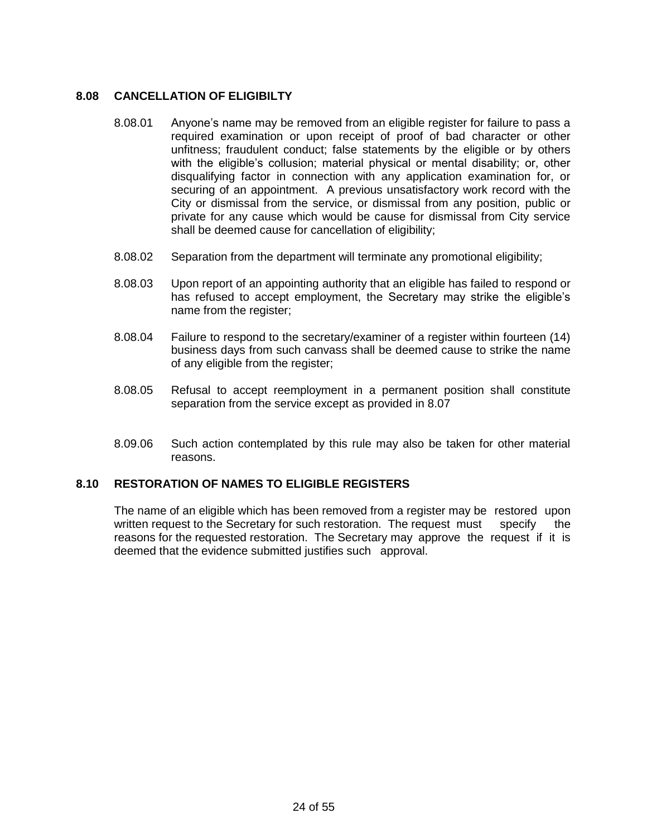# **8.08 CANCELLATION OF ELIGIBILTY**

- 8.08.01 Anyone's name may be removed from an eligible register for failure to pass a required examination or upon receipt of proof of bad character or other unfitness; fraudulent conduct; false statements by the eligible or by others with the eligible's collusion; material physical or mental disability; or, other disqualifying factor in connection with any application examination for, or securing of an appointment. A previous unsatisfactory work record with the City or dismissal from the service, or dismissal from any position, public or private for any cause which would be cause for dismissal from City service shall be deemed cause for cancellation of eligibility;
- 8.08.02 Separation from the department will terminate any promotional eligibility;
- 8.08.03 Upon report of an appointing authority that an eligible has failed to respond or has refused to accept employment, the Secretary may strike the eligible's name from the register;
- 8.08.04 Failure to respond to the secretary/examiner of a register within fourteen (14) business days from such canvass shall be deemed cause to strike the name of any eligible from the register;
- 8.08.05 Refusal to accept reemployment in a permanent position shall constitute separation from the service except as provided in 8.07
- 8.09.06 Such action contemplated by this rule may also be taken for other material reasons.

### **8.10 RESTORATION OF NAMES TO ELIGIBLE REGISTERS**

The name of an eligible which has been removed from a register may be restored upon written request to the Secretary for such restoration. The request must specify the reasons for the requested restoration. The Secretary may approve the request if it is deemed that the evidence submitted justifies such approval.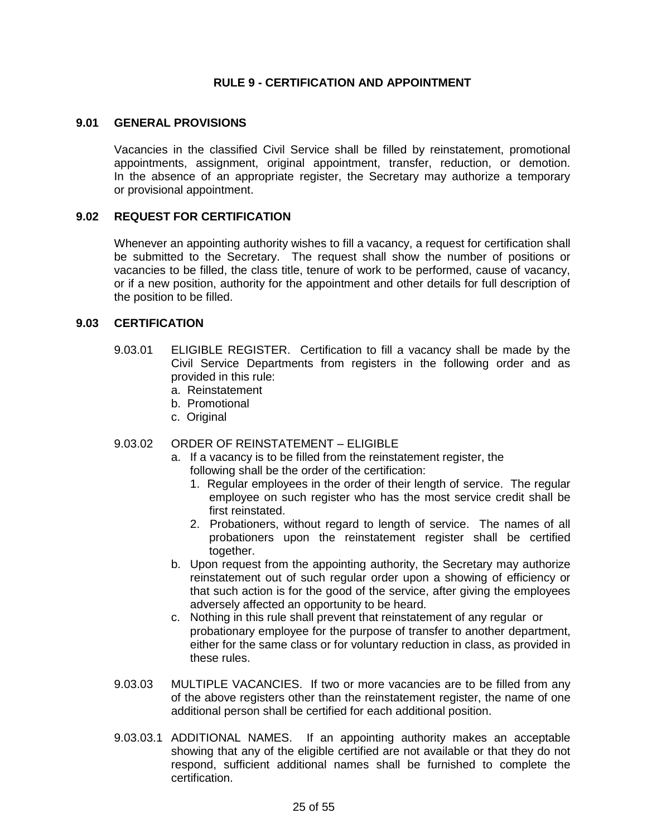# **RULE 9 - CERTIFICATION AND APPOINTMENT**

#### **9.01 GENERAL PROVISIONS**

Vacancies in the classified Civil Service shall be filled by reinstatement, promotional appointments, assignment, original appointment, transfer, reduction, or demotion. In the absence of an appropriate register, the Secretary may authorize a temporary or provisional appointment.

#### **9.02 REQUEST FOR CERTIFICATION**

Whenever an appointing authority wishes to fill a vacancy, a request for certification shall be submitted to the Secretary. The request shall show the number of positions or vacancies to be filled, the class title, tenure of work to be performed, cause of vacancy, or if a new position, authority for the appointment and other details for full description of the position to be filled.

#### **9.03 CERTIFICATION**

- 9.03.01 ELIGIBLE REGISTER. Certification to fill a vacancy shall be made by the Civil Service Departments from registers in the following order and as provided in this rule:
	- a. Reinstatement
	- b. Promotional
	- c. Original
- 9.03.02 ORDER OF REINSTATEMENT ELIGIBLE
	- a. If a vacancy is to be filled from the reinstatement register, the following shall be the order of the certification:
		- 1. Regular employees in the order of their length of service. The regular employee on such register who has the most service credit shall be first reinstated.
		- 2. Probationers, without regard to length of service. The names of all probationers upon the reinstatement register shall be certified together.
	- b. Upon request from the appointing authority, the Secretary may authorize reinstatement out of such regular order upon a showing of efficiency or that such action is for the good of the service, after giving the employees adversely affected an opportunity to be heard.
	- c. Nothing in this rule shall prevent that reinstatement of any regular or probationary employee for the purpose of transfer to another department, either for the same class or for voluntary reduction in class, as provided in these rules.
- 9.03.03 MULTIPLE VACANCIES. If two or more vacancies are to be filled from any of the above registers other than the reinstatement register, the name of one additional person shall be certified for each additional position.
- 9.03.03.1 ADDITIONAL NAMES. If an appointing authority makes an acceptable showing that any of the eligible certified are not available or that they do not respond, sufficient additional names shall be furnished to complete the certification.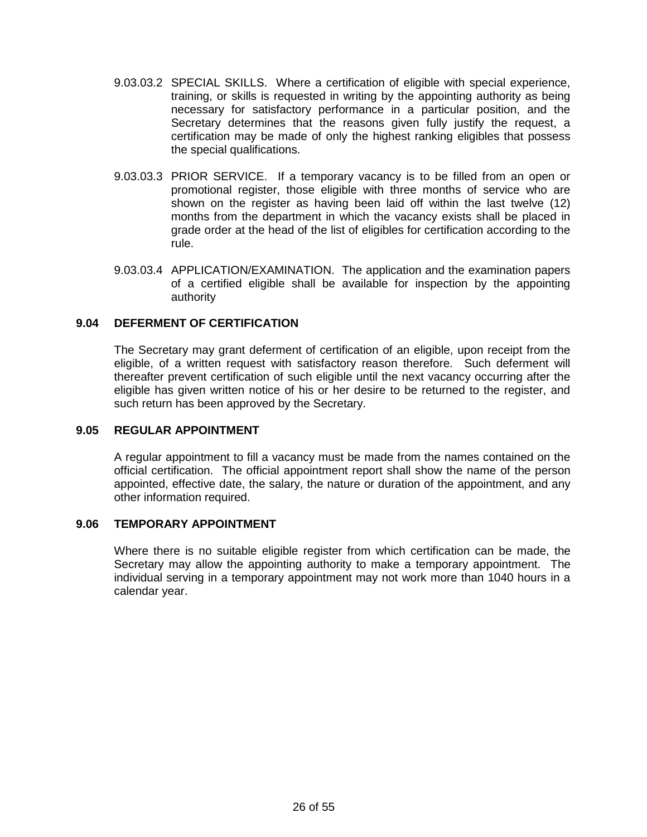- 9.03.03.2 SPECIAL SKILLS. Where a certification of eligible with special experience, training, or skills is requested in writing by the appointing authority as being necessary for satisfactory performance in a particular position, and the Secretary determines that the reasons given fully justify the request, a certification may be made of only the highest ranking eligibles that possess the special qualifications.
- 9.03.03.3 PRIOR SERVICE. If a temporary vacancy is to be filled from an open or promotional register, those eligible with three months of service who are shown on the register as having been laid off within the last twelve (12) months from the department in which the vacancy exists shall be placed in grade order at the head of the list of eligibles for certification according to the rule.
- 9.03.03.4 APPLICATION/EXAMINATION. The application and the examination papers of a certified eligible shall be available for inspection by the appointing authority

# **9.04 DEFERMENT OF CERTIFICATION**

The Secretary may grant deferment of certification of an eligible, upon receipt from the eligible, of a written request with satisfactory reason therefore. Such deferment will thereafter prevent certification of such eligible until the next vacancy occurring after the eligible has given written notice of his or her desire to be returned to the register, and such return has been approved by the Secretary.

### **9.05 REGULAR APPOINTMENT**

A regular appointment to fill a vacancy must be made from the names contained on the official certification. The official appointment report shall show the name of the person appointed, effective date, the salary, the nature or duration of the appointment, and any other information required.

# **9.06 TEMPORARY APPOINTMENT**

Where there is no suitable eligible register from which certification can be made, the Secretary may allow the appointing authority to make a temporary appointment. The individual serving in a temporary appointment may not work more than 1040 hours in a calendar year.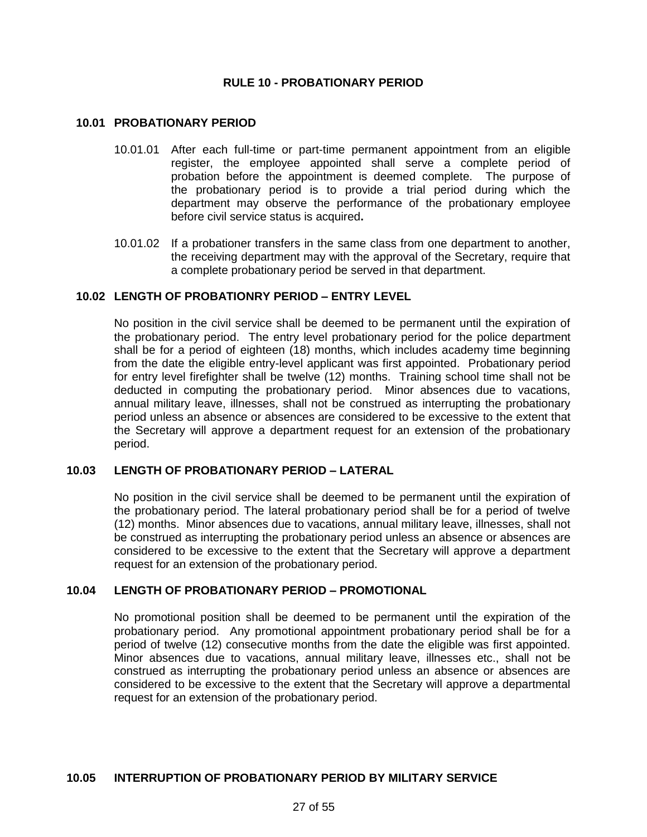### **RULE 10 - PROBATIONARY PERIOD**

### **10.01 PROBATIONARY PERIOD**

- 10.01.01 After each full-time or part-time permanent appointment from an eligible register, the employee appointed shall serve a complete period of probation before the appointment is deemed complete. The purpose of the probationary period is to provide a trial period during which the department may observe the performance of the probationary employee before civil service status is acquired**.**
- 10.01.02 If a probationer transfers in the same class from one department to another, the receiving department may with the approval of the Secretary, require that a complete probationary period be served in that department.

## **10.02 LENGTH OF PROBATIONRY PERIOD – ENTRY LEVEL**

No position in the civil service shall be deemed to be permanent until the expiration of the probationary period. The entry level probationary period for the police department shall be for a period of eighteen (18) months, which includes academy time beginning from the date the eligible entry-level applicant was first appointed. Probationary period for entry level firefighter shall be twelve (12) months. Training school time shall not be deducted in computing the probationary period. Minor absences due to vacations, annual military leave, illnesses, shall not be construed as interrupting the probationary period unless an absence or absences are considered to be excessive to the extent that the Secretary will approve a department request for an extension of the probationary period.

# **10.03 LENGTH OF PROBATIONARY PERIOD – LATERAL**

No position in the civil service shall be deemed to be permanent until the expiration of the probationary period. The lateral probationary period shall be for a period of twelve (12) months. Minor absences due to vacations, annual military leave, illnesses, shall not be construed as interrupting the probationary period unless an absence or absences are considered to be excessive to the extent that the Secretary will approve a department request for an extension of the probationary period.

#### **10.04 LENGTH OF PROBATIONARY PERIOD – PROMOTIONAL**

No promotional position shall be deemed to be permanent until the expiration of the probationary period. Any promotional appointment probationary period shall be for a period of twelve (12) consecutive months from the date the eligible was first appointed. Minor absences due to vacations, annual military leave, illnesses etc., shall not be construed as interrupting the probationary period unless an absence or absences are considered to be excessive to the extent that the Secretary will approve a departmental request for an extension of the probationary period.

# **10.05 INTERRUPTION OF PROBATIONARY PERIOD BY MILITARY SERVICE**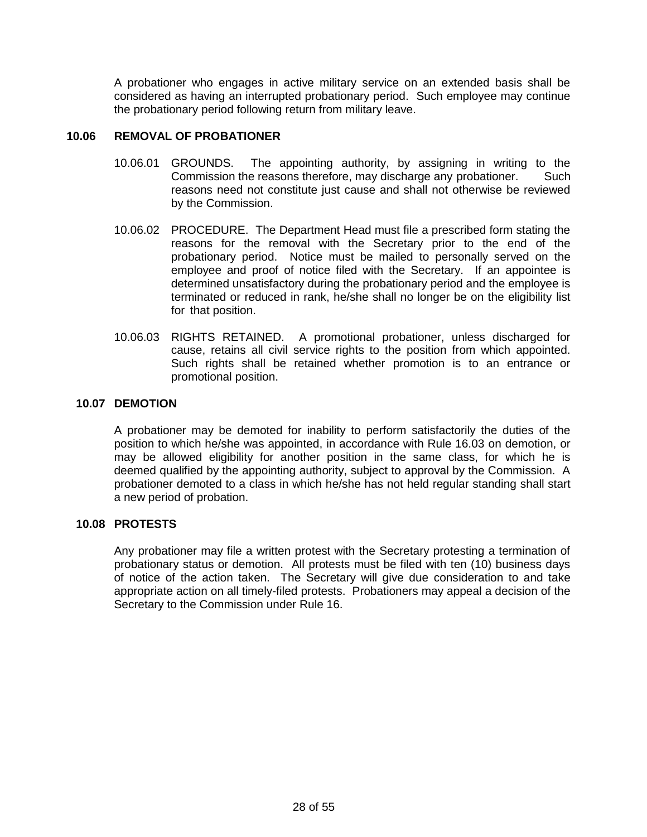A probationer who engages in active military service on an extended basis shall be considered as having an interrupted probationary period. Such employee may continue the probationary period following return from military leave.

### **10.06 REMOVAL OF PROBATIONER**

- 10.06.01 GROUNDS. The appointing authority, by assigning in writing to the Commission the reasons therefore, may discharge any probationer. Such reasons need not constitute just cause and shall not otherwise be reviewed by the Commission.
- 10.06.02 PROCEDURE. The Department Head must file a prescribed form stating the reasons for the removal with the Secretary prior to the end of the probationary period. Notice must be mailed to personally served on the employee and proof of notice filed with the Secretary. If an appointee is determined unsatisfactory during the probationary period and the employee is terminated or reduced in rank, he/she shall no longer be on the eligibility list for that position.
- 10.06.03 RIGHTS RETAINED. A promotional probationer, unless discharged for cause, retains all civil service rights to the position from which appointed. Such rights shall be retained whether promotion is to an entrance or promotional position.

# **10.07 DEMOTION**

A probationer may be demoted for inability to perform satisfactorily the duties of the position to which he/she was appointed, in accordance with Rule 16.03 on demotion, or may be allowed eligibility for another position in the same class, for which he is deemed qualified by the appointing authority, subject to approval by the Commission. A probationer demoted to a class in which he/she has not held regular standing shall start a new period of probation.

# **10.08 PROTESTS**

Any probationer may file a written protest with the Secretary protesting a termination of probationary status or demotion. All protests must be filed with ten (10) business days of notice of the action taken. The Secretary will give due consideration to and take appropriate action on all timely-filed protests. Probationers may appeal a decision of the Secretary to the Commission under Rule 16.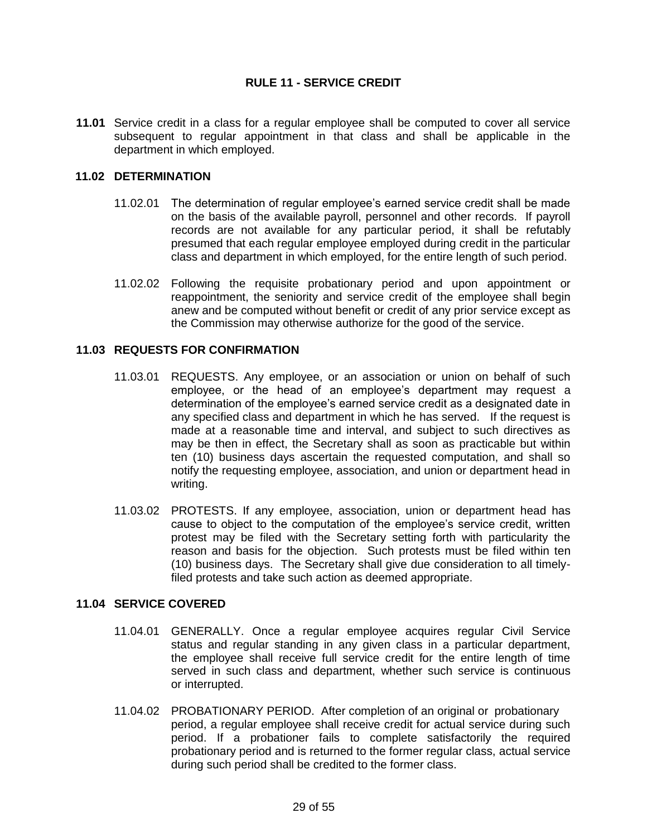# **RULE 11 - SERVICE CREDIT**

**11.01** Service credit in a class for a regular employee shall be computed to cover all service subsequent to regular appointment in that class and shall be applicable in the department in which employed.

# **11.02 DETERMINATION**

- 11.02.01 The determination of regular employee's earned service credit shall be made on the basis of the available payroll, personnel and other records. If payroll records are not available for any particular period, it shall be refutably presumed that each regular employee employed during credit in the particular class and department in which employed, for the entire length of such period.
- 11.02.02 Following the requisite probationary period and upon appointment or reappointment, the seniority and service credit of the employee shall begin anew and be computed without benefit or credit of any prior service except as the Commission may otherwise authorize for the good of the service.

# **11.03 REQUESTS FOR CONFIRMATION**

- 11.03.01 REQUESTS. Any employee, or an association or union on behalf of such employee, or the head of an employee's department may request a determination of the employee's earned service credit as a designated date in any specified class and department in which he has served. If the request is made at a reasonable time and interval, and subject to such directives as may be then in effect, the Secretary shall as soon as practicable but within ten (10) business days ascertain the requested computation, and shall so notify the requesting employee, association, and union or department head in writing.
- 11.03.02 PROTESTS. If any employee, association, union or department head has cause to object to the computation of the employee's service credit, written protest may be filed with the Secretary setting forth with particularity the reason and basis for the objection. Such protests must be filed within ten (10) business days. The Secretary shall give due consideration to all timelyfiled protests and take such action as deemed appropriate.

#### **11.04 SERVICE COVERED**

- 11.04.01 GENERALLY. Once a regular employee acquires regular Civil Service status and regular standing in any given class in a particular department, the employee shall receive full service credit for the entire length of time served in such class and department, whether such service is continuous or interrupted.
- 11.04.02 PROBATIONARY PERIOD. After completion of an original or probationary period, a regular employee shall receive credit for actual service during such period. If a probationer fails to complete satisfactorily the required probationary period and is returned to the former regular class, actual service during such period shall be credited to the former class.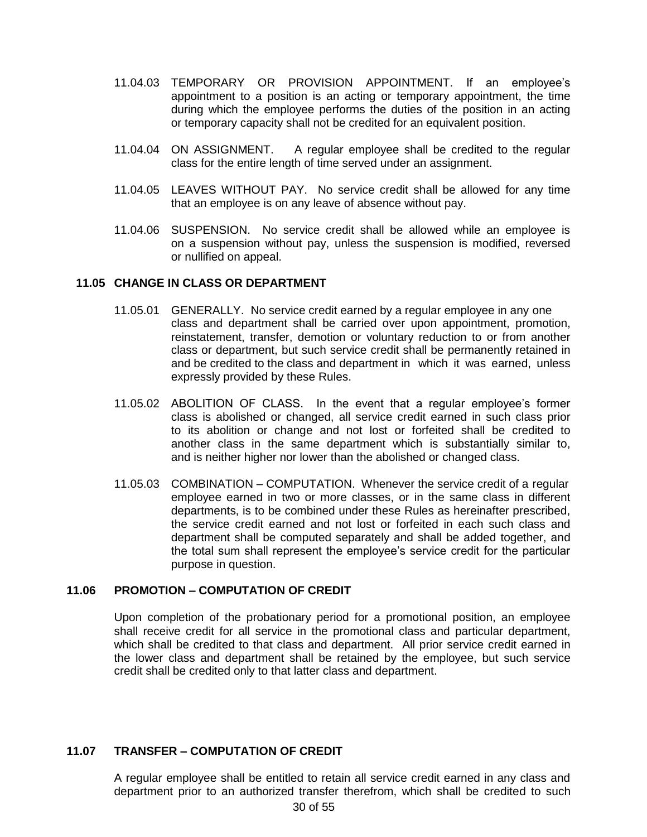- 11.04.03 TEMPORARY OR PROVISION APPOINTMENT. If an employee's appointment to a position is an acting or temporary appointment, the time during which the employee performs the duties of the position in an acting or temporary capacity shall not be credited for an equivalent position.
- 11.04.04 ON ASSIGNMENT. A regular employee shall be credited to the regular class for the entire length of time served under an assignment.
- 11.04.05 LEAVES WITHOUT PAY. No service credit shall be allowed for any time that an employee is on any leave of absence without pay.
- 11.04.06 SUSPENSION. No service credit shall be allowed while an employee is on a suspension without pay, unless the suspension is modified, reversed or nullified on appeal.

#### **11.05 CHANGE IN CLASS OR DEPARTMENT**

- 11.05.01 GENERALLY. No service credit earned by a regular employee in any one class and department shall be carried over upon appointment, promotion, reinstatement, transfer, demotion or voluntary reduction to or from another class or department, but such service credit shall be permanently retained in and be credited to the class and department in which it was earned, unless expressly provided by these Rules.
- 11.05.02 ABOLITION OF CLASS. In the event that a regular employee's former class is abolished or changed, all service credit earned in such class prior to its abolition or change and not lost or forfeited shall be credited to another class in the same department which is substantially similar to, and is neither higher nor lower than the abolished or changed class.
- 11.05.03 COMBINATION COMPUTATION. Whenever the service credit of a regular employee earned in two or more classes, or in the same class in different departments, is to be combined under these Rules as hereinafter prescribed, the service credit earned and not lost or forfeited in each such class and department shall be computed separately and shall be added together, and the total sum shall represent the employee's service credit for the particular purpose in question.

#### **11.06 PROMOTION – COMPUTATION OF CREDIT**

Upon completion of the probationary period for a promotional position, an employee shall receive credit for all service in the promotional class and particular department, which shall be credited to that class and department. All prior service credit earned in the lower class and department shall be retained by the employee, but such service credit shall be credited only to that latter class and department.

#### **11.07 TRANSFER – COMPUTATION OF CREDIT**

30 of 55 A regular employee shall be entitled to retain all service credit earned in any class and department prior to an authorized transfer therefrom, which shall be credited to such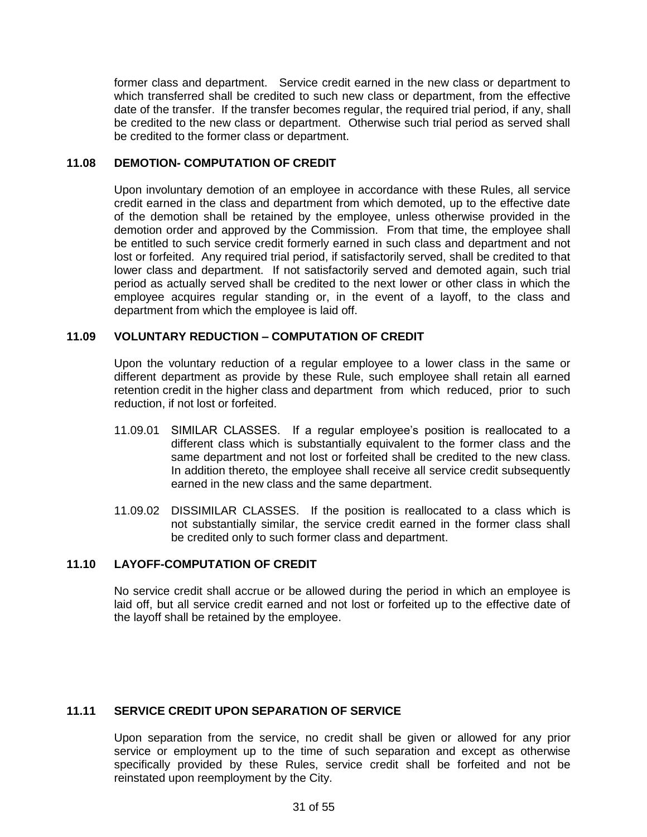former class and department. Service credit earned in the new class or department to which transferred shall be credited to such new class or department, from the effective date of the transfer. If the transfer becomes regular, the required trial period, if any, shall be credited to the new class or department. Otherwise such trial period as served shall be credited to the former class or department.

# **11.08 DEMOTION- COMPUTATION OF CREDIT**

Upon involuntary demotion of an employee in accordance with these Rules, all service credit earned in the class and department from which demoted, up to the effective date of the demotion shall be retained by the employee, unless otherwise provided in the demotion order and approved by the Commission. From that time, the employee shall be entitled to such service credit formerly earned in such class and department and not lost or forfeited. Any required trial period, if satisfactorily served, shall be credited to that lower class and department. If not satisfactorily served and demoted again, such trial period as actually served shall be credited to the next lower or other class in which the employee acquires regular standing or, in the event of a layoff, to the class and department from which the employee is laid off.

### **11.09 VOLUNTARY REDUCTION – COMPUTATION OF CREDIT**

Upon the voluntary reduction of a regular employee to a lower class in the same or different department as provide by these Rule, such employee shall retain all earned retention credit in the higher class and department from which reduced, prior to such reduction, if not lost or forfeited.

- 11.09.01 SIMILAR CLASSES. If a regular employee's position is reallocated to a different class which is substantially equivalent to the former class and the same department and not lost or forfeited shall be credited to the new class. In addition thereto, the employee shall receive all service credit subsequently earned in the new class and the same department.
- 11.09.02 DISSIMILAR CLASSES. If the position is reallocated to a class which is not substantially similar, the service credit earned in the former class shall be credited only to such former class and department.

# **11.10 LAYOFF-COMPUTATION OF CREDIT**

No service credit shall accrue or be allowed during the period in which an employee is laid off, but all service credit earned and not lost or forfeited up to the effective date of the layoff shall be retained by the employee.

# **11.11 SERVICE CREDIT UPON SEPARATION OF SERVICE**

Upon separation from the service, no credit shall be given or allowed for any prior service or employment up to the time of such separation and except as otherwise specifically provided by these Rules, service credit shall be forfeited and not be reinstated upon reemployment by the City.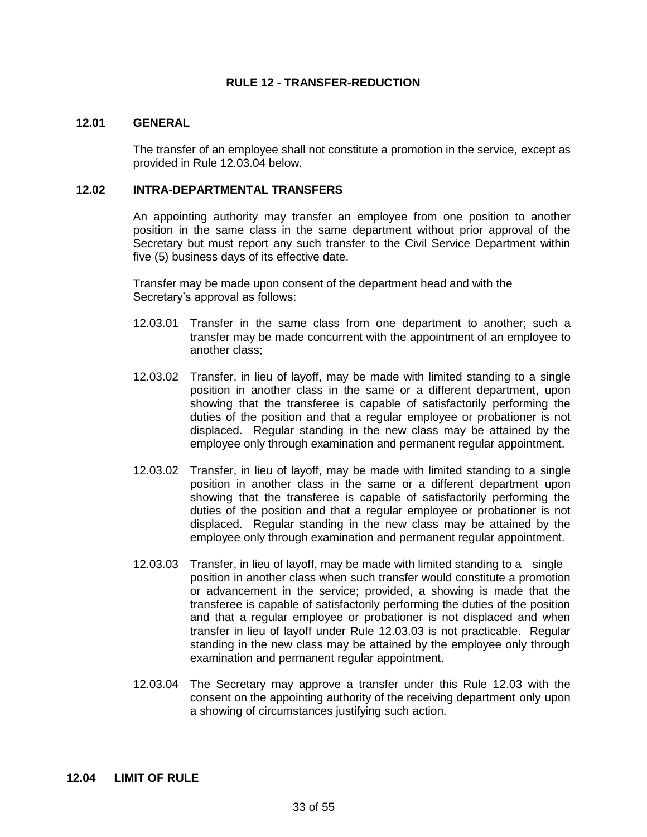### **RULE 12 - TRANSFER-REDUCTION**

### **12.01 GENERAL**

The transfer of an employee shall not constitute a promotion in the service, except as provided in Rule 12.03.04 below.

### **12.02 INTRA-DEPARTMENTAL TRANSFERS**

An appointing authority may transfer an employee from one position to another position in the same class in the same department without prior approval of the Secretary but must report any such transfer to the Civil Service Department within five (5) business days of its effective date.

Transfer may be made upon consent of the department head and with the Secretary's approval as follows:

- 12.03.01 Transfer in the same class from one department to another; such a transfer may be made concurrent with the appointment of an employee to another class;
- 12.03.02 Transfer, in lieu of layoff, may be made with limited standing to a single position in another class in the same or a different department, upon showing that the transferee is capable of satisfactorily performing the duties of the position and that a regular employee or probationer is not displaced. Regular standing in the new class may be attained by the employee only through examination and permanent regular appointment.
- 12.03.02 Transfer, in lieu of layoff, may be made with limited standing to a single position in another class in the same or a different department upon showing that the transferee is capable of satisfactorily performing the duties of the position and that a regular employee or probationer is not displaced. Regular standing in the new class may be attained by the employee only through examination and permanent regular appointment.
- 12.03.03 Transfer, in lieu of layoff, may be made with limited standing to a single position in another class when such transfer would constitute a promotion or advancement in the service; provided, a showing is made that the transferee is capable of satisfactorily performing the duties of the position and that a regular employee or probationer is not displaced and when transfer in lieu of layoff under Rule 12.03.03 is not practicable. Regular standing in the new class may be attained by the employee only through examination and permanent regular appointment.
- 12.03.04 The Secretary may approve a transfer under this Rule 12.03 with the consent on the appointing authority of the receiving department only upon a showing of circumstances justifying such action.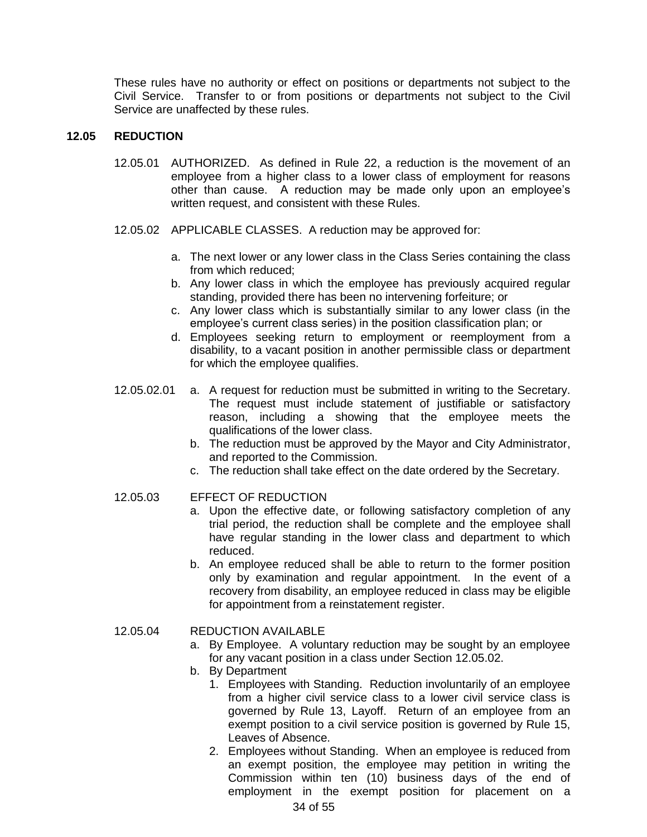These rules have no authority or effect on positions or departments not subject to the Civil Service. Transfer to or from positions or departments not subject to the Civil Service are unaffected by these rules.

#### **12.05 REDUCTION**

- 12.05.01 AUTHORIZED. As defined in Rule 22, a reduction is the movement of an employee from a higher class to a lower class of employment for reasons other than cause. A reduction may be made only upon an employee's written request, and consistent with these Rules.
- 12.05.02 APPLICABLE CLASSES. A reduction may be approved for:
	- a. The next lower or any lower class in the Class Series containing the class from which reduced;
	- b. Any lower class in which the employee has previously acquired regular standing, provided there has been no intervening forfeiture; or
	- c. Any lower class which is substantially similar to any lower class (in the employee's current class series) in the position classification plan; or
	- d. Employees seeking return to employment or reemployment from a disability, to a vacant position in another permissible class or department for which the employee qualifies.
- 12.05.02.01 a. A request for reduction must be submitted in writing to the Secretary. The request must include statement of justifiable or satisfactory reason, including a showing that the employee meets the qualifications of the lower class.
	- b. The reduction must be approved by the Mayor and City Administrator, and reported to the Commission.
	- c. The reduction shall take effect on the date ordered by the Secretary.

# 12.05.03 EFFECT OF REDUCTION

- a. Upon the effective date, or following satisfactory completion of any trial period, the reduction shall be complete and the employee shall have regular standing in the lower class and department to which reduced.
- b. An employee reduced shall be able to return to the former position only by examination and regular appointment. In the event of a recovery from disability, an employee reduced in class may be eligible for appointment from a reinstatement register.

### 12.05.04 REDUCTION AVAILABLE

- a. By Employee. A voluntary reduction may be sought by an employee for any vacant position in a class under Section 12.05.02.
- b. By Department
	- 1. Employees with Standing. Reduction involuntarily of an employee from a higher civil service class to a lower civil service class is governed by Rule 13, Layoff. Return of an employee from an exempt position to a civil service position is governed by Rule 15, Leaves of Absence.
	- 34 of 55 2. Employees without Standing. When an employee is reduced from an exempt position, the employee may petition in writing the Commission within ten (10) business days of the end of employment in the exempt position for placement on a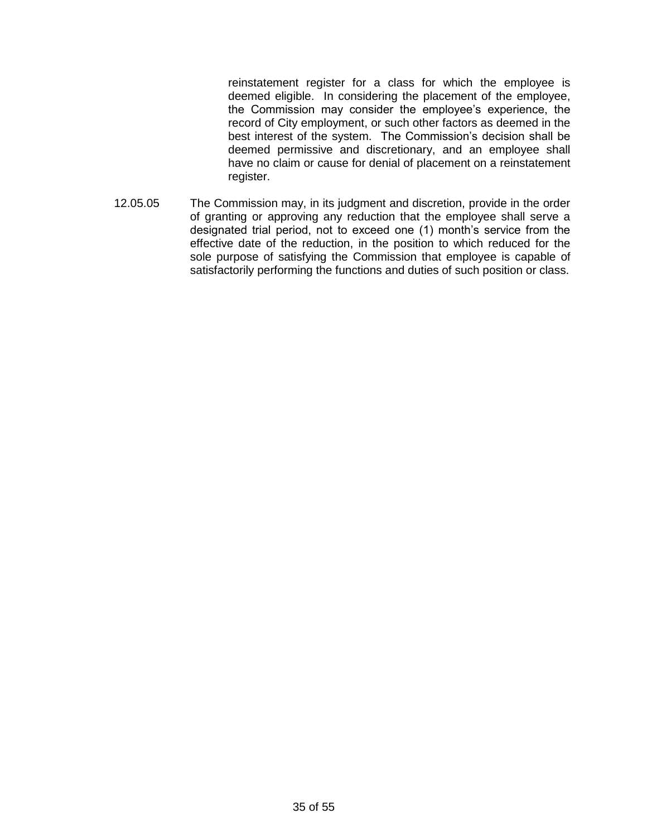reinstatement register for a class for which the employee is deemed eligible. In considering the placement of the employee, the Commission may consider the employee's experience, the record of City employment, or such other factors as deemed in the best interest of the system. The Commission's decision shall be deemed permissive and discretionary, and an employee shall have no claim or cause for denial of placement on a reinstatement register.

12.05.05 The Commission may, in its judgment and discretion, provide in the order of granting or approving any reduction that the employee shall serve a designated trial period, not to exceed one (1) month's service from the effective date of the reduction, in the position to which reduced for the sole purpose of satisfying the Commission that employee is capable of satisfactorily performing the functions and duties of such position or class.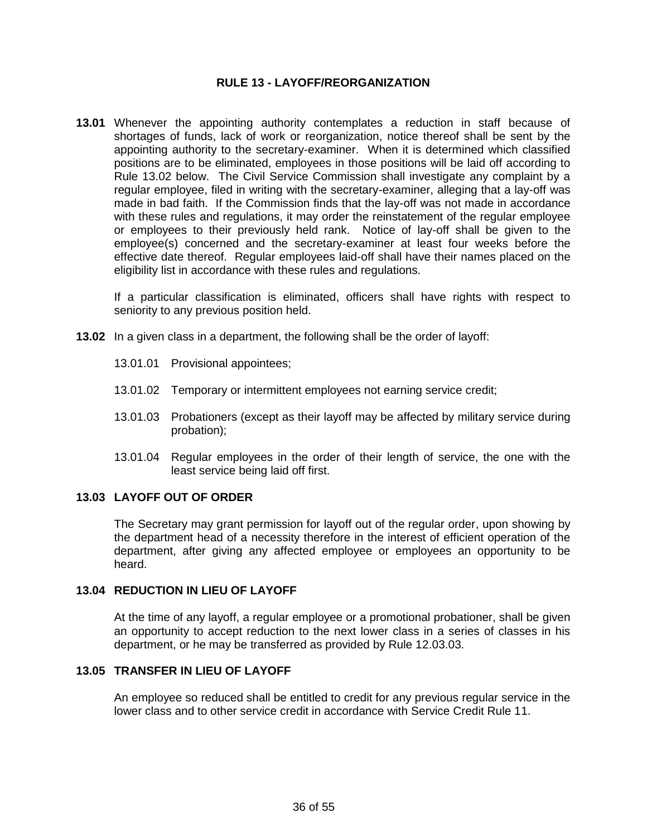### **RULE 13 - LAYOFF/REORGANIZATION**

**13.01** Whenever the appointing authority contemplates a reduction in staff because of shortages of funds, lack of work or reorganization, notice thereof shall be sent by the appointing authority to the secretary-examiner. When it is determined which classified positions are to be eliminated, employees in those positions will be laid off according to Rule 13.02 below. The Civil Service Commission shall investigate any complaint by a regular employee, filed in writing with the secretary-examiner, alleging that a lay-off was made in bad faith. If the Commission finds that the lay-off was not made in accordance with these rules and regulations, it may order the reinstatement of the regular employee or employees to their previously held rank. Notice of lay-off shall be given to the employee(s) concerned and the secretary-examiner at least four weeks before the effective date thereof. Regular employees laid-off shall have their names placed on the eligibility list in accordance with these rules and regulations.

If a particular classification is eliminated, officers shall have rights with respect to seniority to any previous position held.

- **13.02** In a given class in a department, the following shall be the order of layoff:
	- 13.01.01 Provisional appointees;
	- 13.01.02 Temporary or intermittent employees not earning service credit;
	- 13.01.03 Probationers (except as their layoff may be affected by military service during probation);
	- 13.01.04 Regular employees in the order of their length of service, the one with the least service being laid off first.

### **13.03 LAYOFF OUT OF ORDER**

The Secretary may grant permission for layoff out of the regular order, upon showing by the department head of a necessity therefore in the interest of efficient operation of the department, after giving any affected employee or employees an opportunity to be heard.

#### **13.04 REDUCTION IN LIEU OF LAYOFF**

At the time of any layoff, a regular employee or a promotional probationer, shall be given an opportunity to accept reduction to the next lower class in a series of classes in his department, or he may be transferred as provided by Rule 12.03.03.

# **13.05 TRANSFER IN LIEU OF LAYOFF**

An employee so reduced shall be entitled to credit for any previous regular service in the lower class and to other service credit in accordance with Service Credit Rule 11.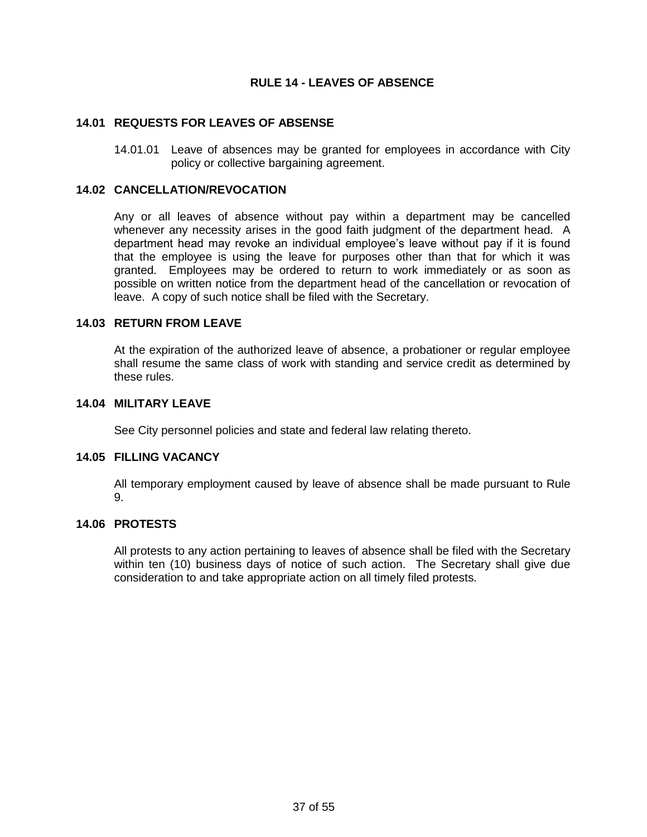### **RULE 14 - LEAVES OF ABSENCE**

### **14.01 REQUESTS FOR LEAVES OF ABSENSE**

14.01.01 Leave of absences may be granted for employees in accordance with City policy or collective bargaining agreement.

# **14.02 CANCELLATION/REVOCATION**

Any or all leaves of absence without pay within a department may be cancelled whenever any necessity arises in the good faith judgment of the department head. A department head may revoke an individual employee's leave without pay if it is found that the employee is using the leave for purposes other than that for which it was granted. Employees may be ordered to return to work immediately or as soon as possible on written notice from the department head of the cancellation or revocation of leave. A copy of such notice shall be filed with the Secretary.

### **14.03 RETURN FROM LEAVE**

At the expiration of the authorized leave of absence, a probationer or regular employee shall resume the same class of work with standing and service credit as determined by these rules.

# **14.04 MILITARY LEAVE**

See City personnel policies and state and federal law relating thereto.

### **14.05 FILLING VACANCY**

All temporary employment caused by leave of absence shall be made pursuant to Rule 9.

# **14.06 PROTESTS**

All protests to any action pertaining to leaves of absence shall be filed with the Secretary within ten (10) business days of notice of such action. The Secretary shall give due consideration to and take appropriate action on all timely filed protests.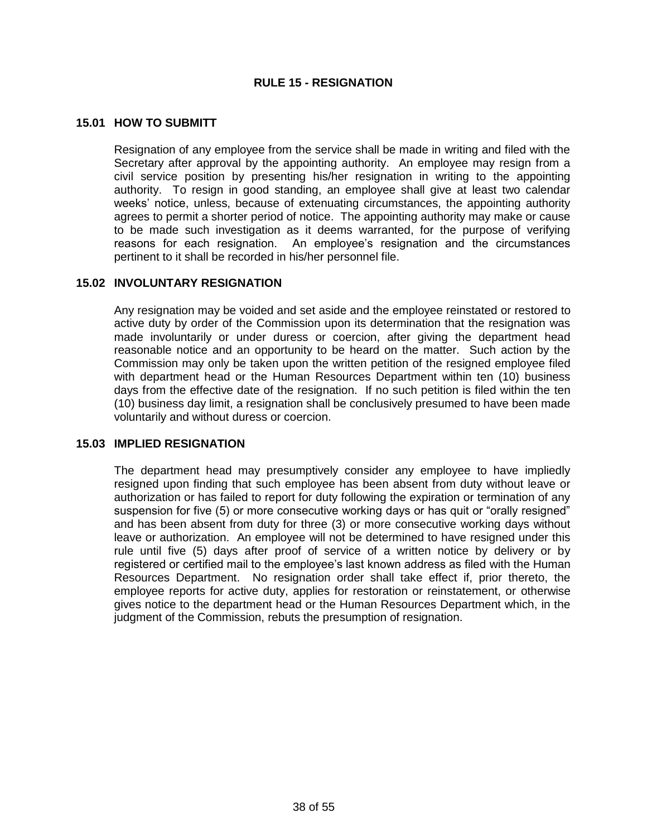# **RULE 15 - RESIGNATION**

#### **15.01 HOW TO SUBMITT**

Resignation of any employee from the service shall be made in writing and filed with the Secretary after approval by the appointing authority. An employee may resign from a civil service position by presenting his/her resignation in writing to the appointing authority. To resign in good standing, an employee shall give at least two calendar weeks' notice, unless, because of extenuating circumstances, the appointing authority agrees to permit a shorter period of notice. The appointing authority may make or cause to be made such investigation as it deems warranted, for the purpose of verifying reasons for each resignation. An employee's resignation and the circumstances pertinent to it shall be recorded in his/her personnel file.

#### **15.02 INVOLUNTARY RESIGNATION**

Any resignation may be voided and set aside and the employee reinstated or restored to active duty by order of the Commission upon its determination that the resignation was made involuntarily or under duress or coercion, after giving the department head reasonable notice and an opportunity to be heard on the matter. Such action by the Commission may only be taken upon the written petition of the resigned employee filed with department head or the Human Resources Department within ten (10) business days from the effective date of the resignation. If no such petition is filed within the ten (10) business day limit, a resignation shall be conclusively presumed to have been made voluntarily and without duress or coercion.

#### **15.03 IMPLIED RESIGNATION**

The department head may presumptively consider any employee to have impliedly resigned upon finding that such employee has been absent from duty without leave or authorization or has failed to report for duty following the expiration or termination of any suspension for five (5) or more consecutive working days or has quit or "orally resigned" and has been absent from duty for three (3) or more consecutive working days without leave or authorization. An employee will not be determined to have resigned under this rule until five (5) days after proof of service of a written notice by delivery or by registered or certified mail to the employee's last known address as filed with the Human Resources Department. No resignation order shall take effect if, prior thereto, the employee reports for active duty, applies for restoration or reinstatement, or otherwise gives notice to the department head or the Human Resources Department which, in the judgment of the Commission, rebuts the presumption of resignation.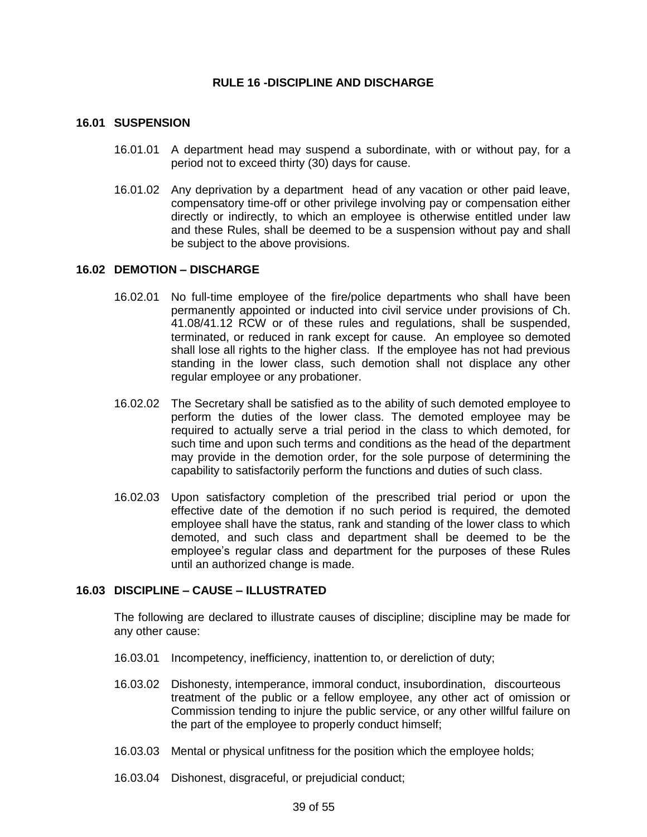### **RULE 16 -DISCIPLINE AND DISCHARGE**

### **16.01 SUSPENSION**

- 16.01.01 A department head may suspend a subordinate, with or without pay, for a period not to exceed thirty (30) days for cause.
- 16.01.02 Any deprivation by a department head of any vacation or other paid leave, compensatory time-off or other privilege involving pay or compensation either directly or indirectly, to which an employee is otherwise entitled under law and these Rules, shall be deemed to be a suspension without pay and shall be subject to the above provisions.

#### **16.02 DEMOTION – DISCHARGE**

- 16.02.01 No full-time employee of the fire/police departments who shall have been permanently appointed or inducted into civil service under provisions of Ch. 41.08/41.12 RCW or of these rules and regulations, shall be suspended, terminated, or reduced in rank except for cause. An employee so demoted shall lose all rights to the higher class. If the employee has not had previous standing in the lower class, such demotion shall not displace any other regular employee or any probationer.
- 16.02.02 The Secretary shall be satisfied as to the ability of such demoted employee to perform the duties of the lower class. The demoted employee may be required to actually serve a trial period in the class to which demoted, for such time and upon such terms and conditions as the head of the department may provide in the demotion order, for the sole purpose of determining the capability to satisfactorily perform the functions and duties of such class.
- 16.02.03 Upon satisfactory completion of the prescribed trial period or upon the effective date of the demotion if no such period is required, the demoted employee shall have the status, rank and standing of the lower class to which demoted, and such class and department shall be deemed to be the employee's regular class and department for the purposes of these Rules until an authorized change is made.

#### **16.03 DISCIPLINE – CAUSE – ILLUSTRATED**

The following are declared to illustrate causes of discipline; discipline may be made for any other cause:

- 16.03.01 Incompetency, inefficiency, inattention to, or dereliction of duty;
- 16.03.02 Dishonesty, intemperance, immoral conduct, insubordination, discourteous treatment of the public or a fellow employee, any other act of omission or Commission tending to injure the public service, or any other willful failure on the part of the employee to properly conduct himself;
- 16.03.03 Mental or physical unfitness for the position which the employee holds;
- 16.03.04 Dishonest, disgraceful, or prejudicial conduct;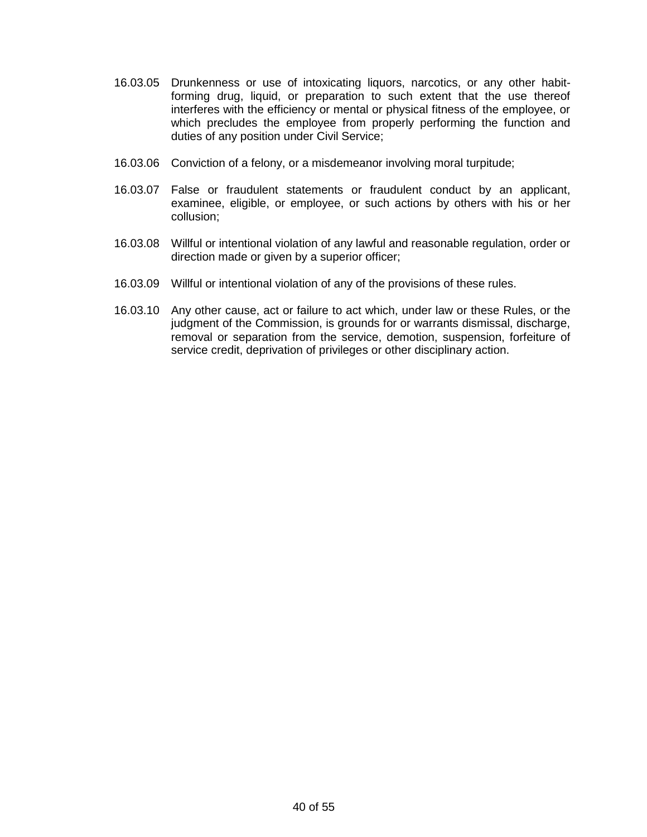- 16.03.05 Drunkenness or use of intoxicating liquors, narcotics, or any other habitforming drug, liquid, or preparation to such extent that the use thereof interferes with the efficiency or mental or physical fitness of the employee, or which precludes the employee from properly performing the function and duties of any position under Civil Service;
- 16.03.06 Conviction of a felony, or a misdemeanor involving moral turpitude;
- 16.03.07 False or fraudulent statements or fraudulent conduct by an applicant, examinee, eligible, or employee, or such actions by others with his or her collusion;
- 16.03.08 Willful or intentional violation of any lawful and reasonable regulation, order or direction made or given by a superior officer;
- 16.03.09 Willful or intentional violation of any of the provisions of these rules.
- 16.03.10 Any other cause, act or failure to act which, under law or these Rules, or the judgment of the Commission, is grounds for or warrants dismissal, discharge, removal or separation from the service, demotion, suspension, forfeiture of service credit, deprivation of privileges or other disciplinary action.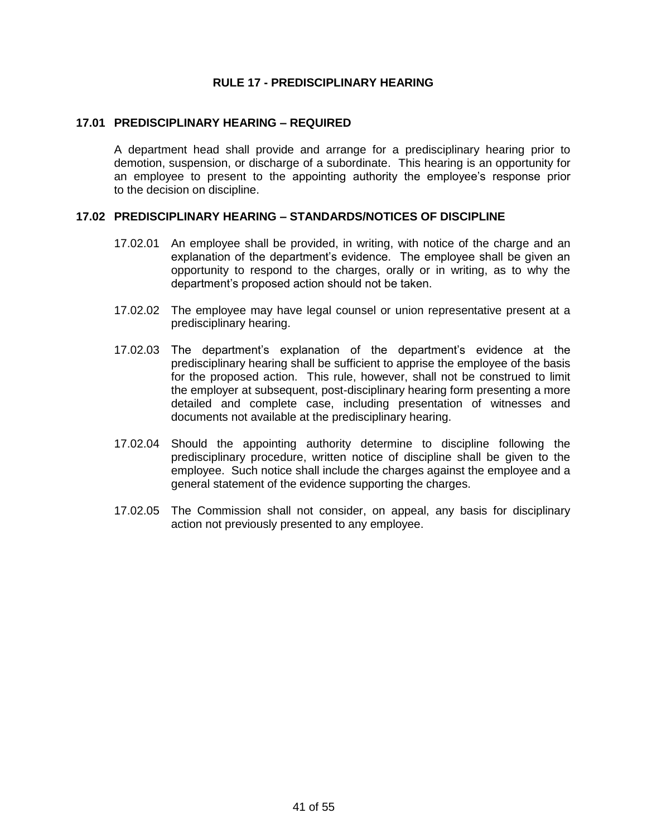### **RULE 17 - PREDISCIPLINARY HEARING**

### **17.01 PREDISCIPLINARY HEARING – REQUIRED**

A department head shall provide and arrange for a predisciplinary hearing prior to demotion, suspension, or discharge of a subordinate. This hearing is an opportunity for an employee to present to the appointing authority the employee's response prior to the decision on discipline.

# **17.02 PREDISCIPLINARY HEARING – STANDARDS/NOTICES OF DISCIPLINE**

- 17.02.01 An employee shall be provided, in writing, with notice of the charge and an explanation of the department's evidence. The employee shall be given an opportunity to respond to the charges, orally or in writing, as to why the department's proposed action should not be taken.
- 17.02.02 The employee may have legal counsel or union representative present at a predisciplinary hearing.
- 17.02.03 The department's explanation of the department's evidence at the predisciplinary hearing shall be sufficient to apprise the employee of the basis for the proposed action. This rule, however, shall not be construed to limit the employer at subsequent, post-disciplinary hearing form presenting a more detailed and complete case, including presentation of witnesses and documents not available at the predisciplinary hearing.
- 17.02.04 Should the appointing authority determine to discipline following the predisciplinary procedure, written notice of discipline shall be given to the employee. Such notice shall include the charges against the employee and a general statement of the evidence supporting the charges.
- 17.02.05 The Commission shall not consider, on appeal, any basis for disciplinary action not previously presented to any employee.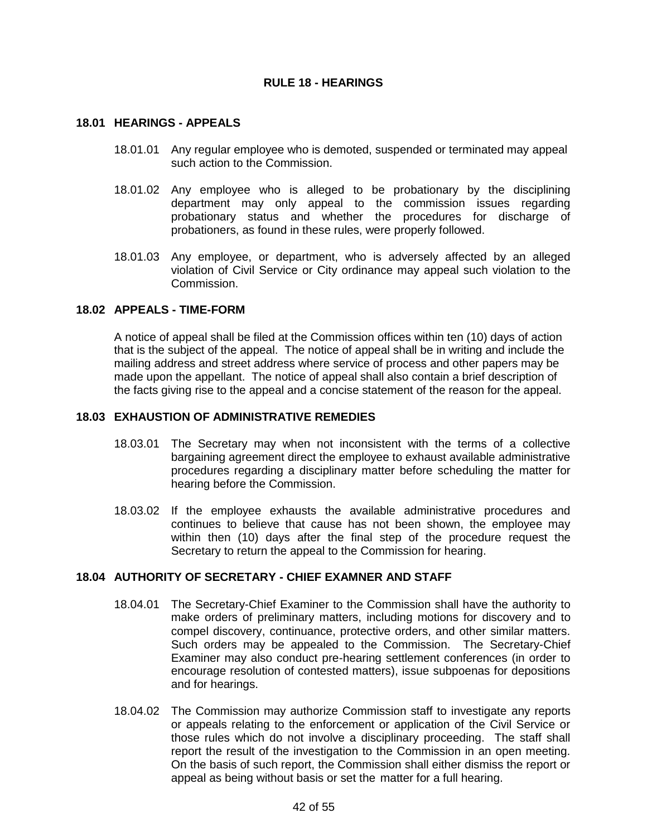### **RULE 18 - HEARINGS**

### **18.01 HEARINGS - APPEALS**

- 18.01.01 Any regular employee who is demoted, suspended or terminated may appeal such action to the Commission.
- 18.01.02 Any employee who is alleged to be probationary by the disciplining department may only appeal to the commission issues regarding probationary status and whether the procedures for discharge of probationers, as found in these rules, were properly followed.
- 18.01.03 Any employee, or department, who is adversely affected by an alleged violation of Civil Service or City ordinance may appeal such violation to the Commission.

# **18.02 APPEALS - TIME-FORM**

A notice of appeal shall be filed at the Commission offices within ten (10) days of action that is the subject of the appeal. The notice of appeal shall be in writing and include the mailing address and street address where service of process and other papers may be made upon the appellant. The notice of appeal shall also contain a brief description of the facts giving rise to the appeal and a concise statement of the reason for the appeal.

### **18.03 EXHAUSTION OF ADMINISTRATIVE REMEDIES**

- 18.03.01 The Secretary may when not inconsistent with the terms of a collective bargaining agreement direct the employee to exhaust available administrative procedures regarding a disciplinary matter before scheduling the matter for hearing before the Commission.
- 18.03.02 If the employee exhausts the available administrative procedures and continues to believe that cause has not been shown, the employee may within then (10) days after the final step of the procedure request the Secretary to return the appeal to the Commission for hearing.

### **18.04 AUTHORITY OF SECRETARY - CHIEF EXAMNER AND STAFF**

- 18.04.01 The Secretary-Chief Examiner to the Commission shall have the authority to make orders of preliminary matters, including motions for discovery and to compel discovery, continuance, protective orders, and other similar matters. Such orders may be appealed to the Commission. The Secretary-Chief Examiner may also conduct pre-hearing settlement conferences (in order to encourage resolution of contested matters), issue subpoenas for depositions and for hearings.
- 18.04.02 The Commission may authorize Commission staff to investigate any reports or appeals relating to the enforcement or application of the Civil Service or those rules which do not involve a disciplinary proceeding. The staff shall report the result of the investigation to the Commission in an open meeting. On the basis of such report, the Commission shall either dismiss the report or appeal as being without basis or set the matter for a full hearing.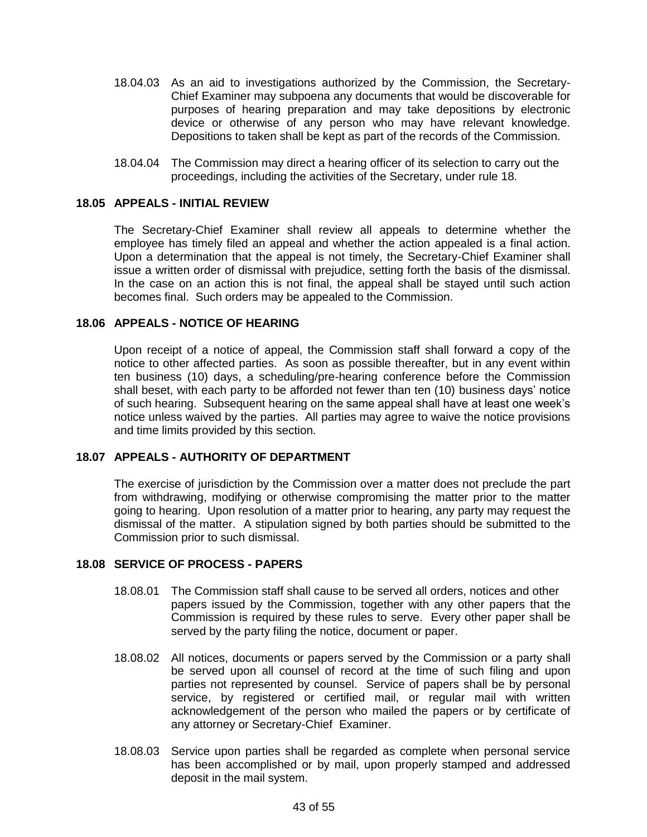- 18.04.03 As an aid to investigations authorized by the Commission, the Secretary-Chief Examiner may subpoena any documents that would be discoverable for purposes of hearing preparation and may take depositions by electronic device or otherwise of any person who may have relevant knowledge. Depositions to taken shall be kept as part of the records of the Commission.
- 18.04.04 The Commission may direct a hearing officer of its selection to carry out the proceedings, including the activities of the Secretary, under rule 18.

#### **18.05 APPEALS - INITIAL REVIEW**

The Secretary-Chief Examiner shall review all appeals to determine whether the employee has timely filed an appeal and whether the action appealed is a final action. Upon a determination that the appeal is not timely, the Secretary-Chief Examiner shall issue a written order of dismissal with prejudice, setting forth the basis of the dismissal. In the case on an action this is not final, the appeal shall be stayed until such action becomes final. Such orders may be appealed to the Commission.

#### **18.06 APPEALS - NOTICE OF HEARING**

Upon receipt of a notice of appeal, the Commission staff shall forward a copy of the notice to other affected parties. As soon as possible thereafter, but in any event within ten business (10) days, a scheduling/pre-hearing conference before the Commission shall beset, with each party to be afforded not fewer than ten (10) business days' notice of such hearing. Subsequent hearing on the same appeal shall have at least one week's notice unless waived by the parties. All parties may agree to waive the notice provisions and time limits provided by this section.

#### **18.07 APPEALS - AUTHORITY OF DEPARTMENT**

The exercise of jurisdiction by the Commission over a matter does not preclude the part from withdrawing, modifying or otherwise compromising the matter prior to the matter going to hearing. Upon resolution of a matter prior to hearing, any party may request the dismissal of the matter. A stipulation signed by both parties should be submitted to the Commission prior to such dismissal.

#### **18.08 SERVICE OF PROCESS - PAPERS**

- 18.08.01 The Commission staff shall cause to be served all orders, notices and other papers issued by the Commission, together with any other papers that the Commission is required by these rules to serve. Every other paper shall be served by the party filing the notice, document or paper.
- 18.08.02 All notices, documents or papers served by the Commission or a party shall be served upon all counsel of record at the time of such filing and upon parties not represented by counsel. Service of papers shall be by personal service, by registered or certified mail, or regular mail with written acknowledgement of the person who mailed the papers or by certificate of any attorney or Secretary-Chief Examiner.
- 18.08.03 Service upon parties shall be regarded as complete when personal service has been accomplished or by mail, upon properly stamped and addressed deposit in the mail system.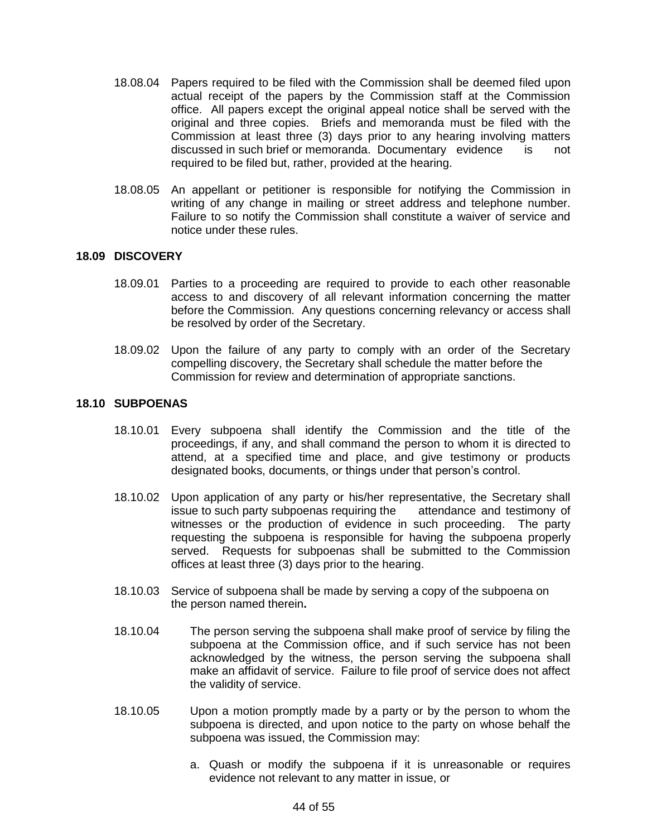- 18.08.04 Papers required to be filed with the Commission shall be deemed filed upon actual receipt of the papers by the Commission staff at the Commission office. All papers except the original appeal notice shall be served with the original and three copies. Briefs and memoranda must be filed with the Commission at least three (3) days prior to any hearing involving matters discussed in such brief or memoranda. Documentary evidence is not required to be filed but, rather, provided at the hearing.
- 18.08.05 An appellant or petitioner is responsible for notifying the Commission in writing of any change in mailing or street address and telephone number. Failure to so notify the Commission shall constitute a waiver of service and notice under these rules.

### **18.09 DISCOVERY**

- 18.09.01 Parties to a proceeding are required to provide to each other reasonable access to and discovery of all relevant information concerning the matter before the Commission. Any questions concerning relevancy or access shall be resolved by order of the Secretary.
- 18.09.02 Upon the failure of any party to comply with an order of the Secretary compelling discovery, the Secretary shall schedule the matter before the Commission for review and determination of appropriate sanctions.

### **18.10 SUBPOENAS**

- 18.10.01 Every subpoena shall identify the Commission and the title of the proceedings, if any, and shall command the person to whom it is directed to attend, at a specified time and place, and give testimony or products designated books, documents, or things under that person's control.
- 18.10.02 Upon application of any party or his/her representative, the Secretary shall issue to such party subpoenas requiring the attendance and testimony of witnesses or the production of evidence in such proceeding. The party requesting the subpoena is responsible for having the subpoena properly served. Requests for subpoenas shall be submitted to the Commission offices at least three (3) days prior to the hearing.
- 18.10.03 Service of subpoena shall be made by serving a copy of the subpoena on the person named therein**.**
- 18.10.04 The person serving the subpoena shall make proof of service by filing the subpoena at the Commission office, and if such service has not been acknowledged by the witness, the person serving the subpoena shall make an affidavit of service. Failure to file proof of service does not affect the validity of service.
- 18.10.05 Upon a motion promptly made by a party or by the person to whom the subpoena is directed, and upon notice to the party on whose behalf the subpoena was issued, the Commission may:
	- a. Quash or modify the subpoena if it is unreasonable or requires evidence not relevant to any matter in issue, or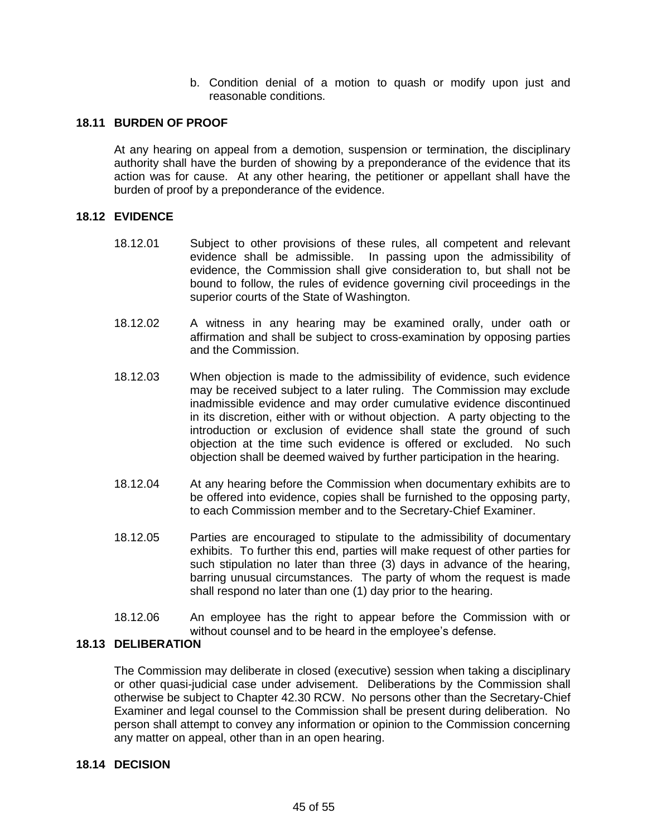b. Condition denial of a motion to quash or modify upon just and reasonable conditions.

### **18.11 BURDEN OF PROOF**

At any hearing on appeal from a demotion, suspension or termination, the disciplinary authority shall have the burden of showing by a preponderance of the evidence that its action was for cause. At any other hearing, the petitioner or appellant shall have the burden of proof by a preponderance of the evidence.

### **18.12 EVIDENCE**

- 18.12.01 Subject to other provisions of these rules, all competent and relevant evidence shall be admissible. In passing upon the admissibility of evidence, the Commission shall give consideration to, but shall not be bound to follow, the rules of evidence governing civil proceedings in the superior courts of the State of Washington.
- 18.12.02 A witness in any hearing may be examined orally, under oath or affirmation and shall be subject to cross-examination by opposing parties and the Commission.
- 18.12.03 When objection is made to the admissibility of evidence, such evidence may be received subject to a later ruling. The Commission may exclude inadmissible evidence and may order cumulative evidence discontinued in its discretion, either with or without objection. A party objecting to the introduction or exclusion of evidence shall state the ground of such objection at the time such evidence is offered or excluded. No such objection shall be deemed waived by further participation in the hearing.
- 18.12.04 At any hearing before the Commission when documentary exhibits are to be offered into evidence, copies shall be furnished to the opposing party, to each Commission member and to the Secretary-Chief Examiner.
- 18.12.05 Parties are encouraged to stipulate to the admissibility of documentary exhibits. To further this end, parties will make request of other parties for such stipulation no later than three (3) days in advance of the hearing, barring unusual circumstances. The party of whom the request is made shall respond no later than one (1) day prior to the hearing.
- 18.12.06 An employee has the right to appear before the Commission with or without counsel and to be heard in the employee's defense.

### **18.13 DELIBERATION**

The Commission may deliberate in closed (executive) session when taking a disciplinary or other quasi-judicial case under advisement. Deliberations by the Commission shall otherwise be subject to Chapter 42.30 RCW. No persons other than the Secretary-Chief Examiner and legal counsel to the Commission shall be present during deliberation. No person shall attempt to convey any information or opinion to the Commission concerning any matter on appeal, other than in an open hearing.

### **18.14 DECISION**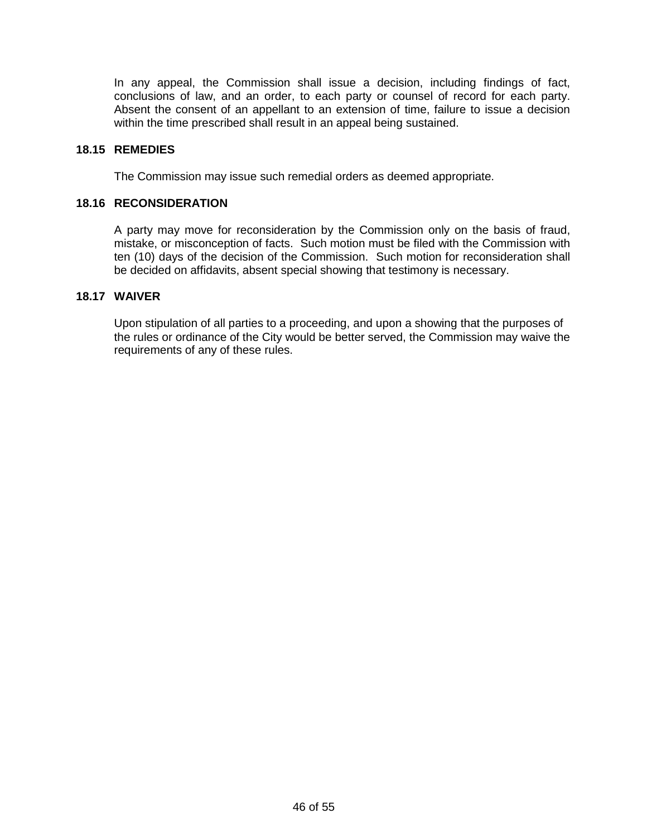In any appeal, the Commission shall issue a decision, including findings of fact, conclusions of law, and an order, to each party or counsel of record for each party. Absent the consent of an appellant to an extension of time, failure to issue a decision within the time prescribed shall result in an appeal being sustained.

### **18.15 REMEDIES**

The Commission may issue such remedial orders as deemed appropriate.

### **18.16 RECONSIDERATION**

A party may move for reconsideration by the Commission only on the basis of fraud, mistake, or misconception of facts. Such motion must be filed with the Commission with ten (10) days of the decision of the Commission. Such motion for reconsideration shall be decided on affidavits, absent special showing that testimony is necessary.

## **18.17 WAIVER**

Upon stipulation of all parties to a proceeding, and upon a showing that the purposes of the rules or ordinance of the City would be better served, the Commission may waive the requirements of any of these rules.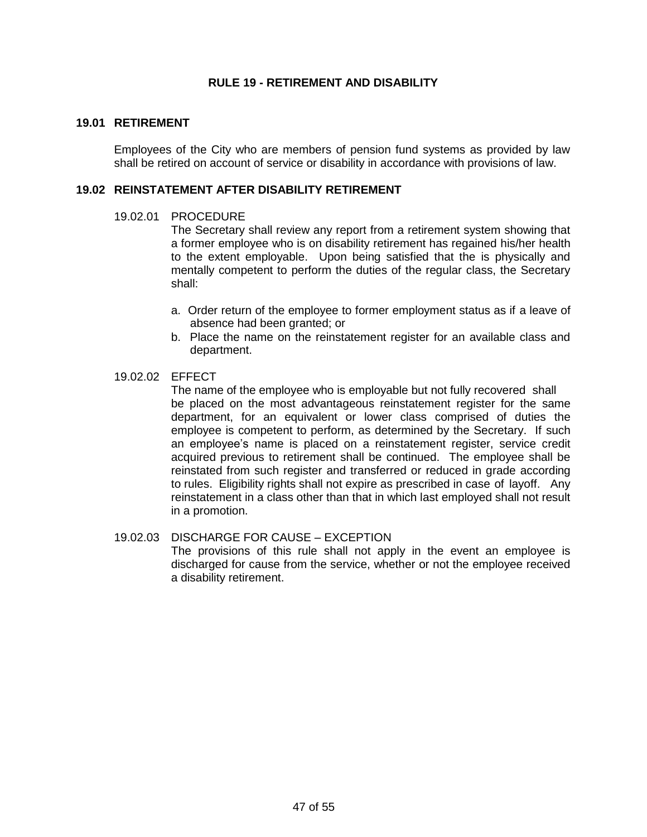### **RULE 19 - RETIREMENT AND DISABILITY**

### **19.01 RETIREMENT**

Employees of the City who are members of pension fund systems as provided by law shall be retired on account of service or disability in accordance with provisions of law.

### **19.02 REINSTATEMENT AFTER DISABILITY RETIREMENT**

#### 19.02.01 PROCEDURE

The Secretary shall review any report from a retirement system showing that a former employee who is on disability retirement has regained his/her health to the extent employable. Upon being satisfied that the is physically and mentally competent to perform the duties of the regular class, the Secretary shall:

- a. Order return of the employee to former employment status as if a leave of absence had been granted; or
- b. Place the name on the reinstatement register for an available class and department.

#### 19.02.02 EFFECT

The name of the employee who is employable but not fully recovered shall be placed on the most advantageous reinstatement register for the same department, for an equivalent or lower class comprised of duties the employee is competent to perform, as determined by the Secretary. If such an employee's name is placed on a reinstatement register, service credit acquired previous to retirement shall be continued. The employee shall be reinstated from such register and transferred or reduced in grade according to rules. Eligibility rights shall not expire as prescribed in case of layoff. Any reinstatement in a class other than that in which last employed shall not result in a promotion.

# 19.02.03 DISCHARGE FOR CAUSE – EXCEPTION

The provisions of this rule shall not apply in the event an employee is discharged for cause from the service, whether or not the employee received a disability retirement.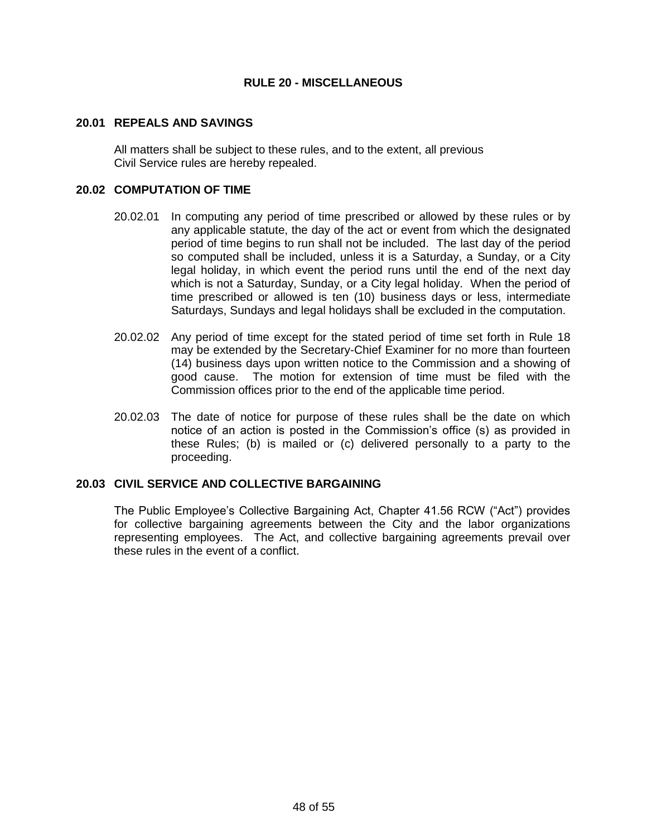### **RULE 20 - MISCELLANEOUS**

### **20.01 REPEALS AND SAVINGS**

All matters shall be subject to these rules, and to the extent, all previous Civil Service rules are hereby repealed.

# **20.02 COMPUTATION OF TIME**

- 20.02.01 In computing any period of time prescribed or allowed by these rules or by any applicable statute, the day of the act or event from which the designated period of time begins to run shall not be included. The last day of the period so computed shall be included, unless it is a Saturday, a Sunday, or a City legal holiday, in which event the period runs until the end of the next day which is not a Saturday, Sunday, or a City legal holiday. When the period of time prescribed or allowed is ten (10) business days or less, intermediate Saturdays, Sundays and legal holidays shall be excluded in the computation.
- 20.02.02 Any period of time except for the stated period of time set forth in Rule 18 may be extended by the Secretary-Chief Examiner for no more than fourteen (14) business days upon written notice to the Commission and a showing of good cause. The motion for extension of time must be filed with the Commission offices prior to the end of the applicable time period.
- 20.02.03 The date of notice for purpose of these rules shall be the date on which notice of an action is posted in the Commission's office (s) as provided in these Rules; (b) is mailed or (c) delivered personally to a party to the proceeding.

### **20.03 CIVIL SERVICE AND COLLECTIVE BARGAINING**

The Public Employee's Collective Bargaining Act, Chapter 41.56 RCW ("Act") provides for collective bargaining agreements between the City and the labor organizations representing employees. The Act, and collective bargaining agreements prevail over these rules in the event of a conflict.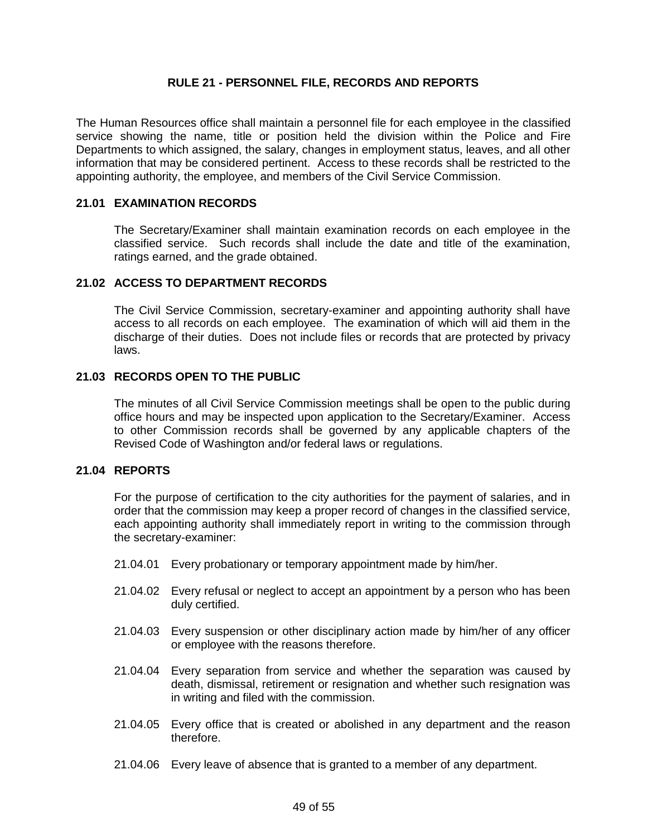# **RULE 21 - PERSONNEL FILE, RECORDS AND REPORTS**

The Human Resources office shall maintain a personnel file for each employee in the classified service showing the name, title or position held the division within the Police and Fire Departments to which assigned, the salary, changes in employment status, leaves, and all other information that may be considered pertinent. Access to these records shall be restricted to the appointing authority, the employee, and members of the Civil Service Commission.

### **21.01 EXAMINATION RECORDS**

The Secretary/Examiner shall maintain examination records on each employee in the classified service. Such records shall include the date and title of the examination, ratings earned, and the grade obtained.

#### **21.02 ACCESS TO DEPARTMENT RECORDS**

The Civil Service Commission, secretary-examiner and appointing authority shall have access to all records on each employee. The examination of which will aid them in the discharge of their duties. Does not include files or records that are protected by privacy laws.

### **21.03 RECORDS OPEN TO THE PUBLIC**

The minutes of all Civil Service Commission meetings shall be open to the public during office hours and may be inspected upon application to the Secretary/Examiner. Access to other Commission records shall be governed by any applicable chapters of the Revised Code of Washington and/or federal laws or regulations.

# **21.04 REPORTS**

For the purpose of certification to the city authorities for the payment of salaries, and in order that the commission may keep a proper record of changes in the classified service, each appointing authority shall immediately report in writing to the commission through the secretary-examiner:

- 21.04.01 Every probationary or temporary appointment made by him/her.
- 21.04.02 Every refusal or neglect to accept an appointment by a person who has been duly certified.
- 21.04.03 Every suspension or other disciplinary action made by him/her of any officer or employee with the reasons therefore.
- 21.04.04 Every separation from service and whether the separation was caused by death, dismissal, retirement or resignation and whether such resignation was in writing and filed with the commission.
- 21.04.05 Every office that is created or abolished in any department and the reason therefore.
- 21.04.06 Every leave of absence that is granted to a member of any department.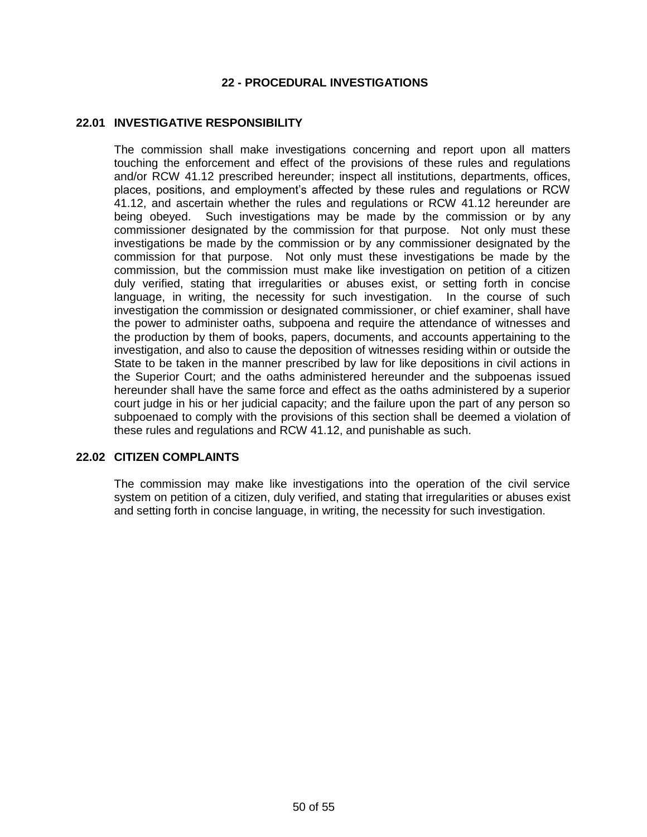### **22 - PROCEDURAL INVESTIGATIONS**

### **22.01 INVESTIGATIVE RESPONSIBILITY**

The commission shall make investigations concerning and report upon all matters touching the enforcement and effect of the provisions of these rules and regulations and/or RCW 41.12 prescribed hereunder; inspect all institutions, departments, offices, places, positions, and employment's affected by these rules and regulations or RCW 41.12, and ascertain whether the rules and regulations or RCW 41.12 hereunder are being obeyed. Such investigations may be made by the commission or by any commissioner designated by the commission for that purpose. Not only must these investigations be made by the commission or by any commissioner designated by the commission for that purpose. Not only must these investigations be made by the commission, but the commission must make like investigation on petition of a citizen duly verified, stating that irregularities or abuses exist, or setting forth in concise language, in writing, the necessity for such investigation. In the course of such investigation the commission or designated commissioner, or chief examiner, shall have the power to administer oaths, subpoena and require the attendance of witnesses and the production by them of books, papers, documents, and accounts appertaining to the investigation, and also to cause the deposition of witnesses residing within or outside the State to be taken in the manner prescribed by law for like depositions in civil actions in the Superior Court; and the oaths administered hereunder and the subpoenas issued hereunder shall have the same force and effect as the oaths administered by a superior court judge in his or her judicial capacity; and the failure upon the part of any person so subpoenaed to comply with the provisions of this section shall be deemed a violation of these rules and regulations and RCW 41.12, and punishable as such.

### **22.02 CITIZEN COMPLAINTS**

The commission may make like investigations into the operation of the civil service system on petition of a citizen, duly verified, and stating that irregularities or abuses exist and setting forth in concise language, in writing, the necessity for such investigation.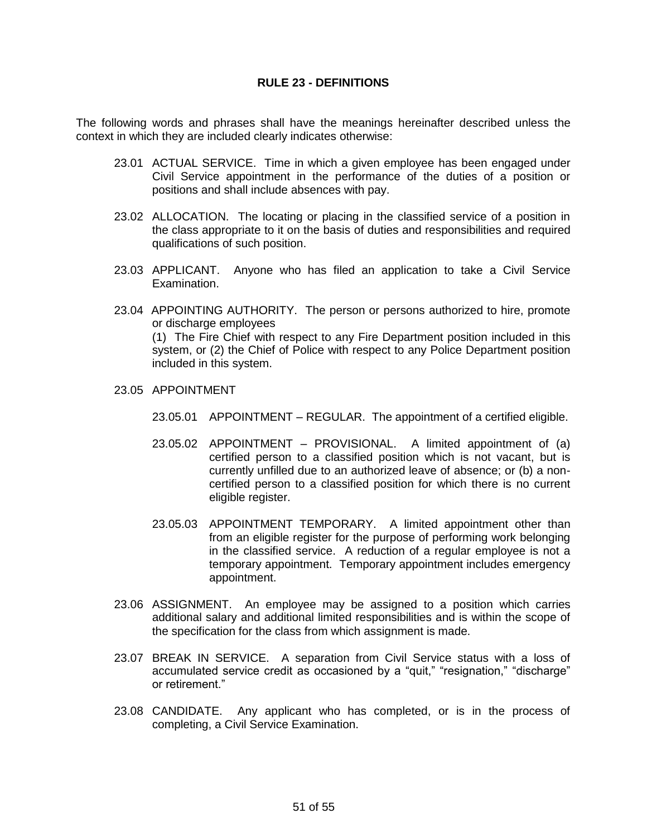### **RULE 23 - DEFINITIONS**

The following words and phrases shall have the meanings hereinafter described unless the context in which they are included clearly indicates otherwise:

- 23.01 ACTUAL SERVICE. Time in which a given employee has been engaged under Civil Service appointment in the performance of the duties of a position or positions and shall include absences with pay.
- 23.02 ALLOCATION. The locating or placing in the classified service of a position in the class appropriate to it on the basis of duties and responsibilities and required qualifications of such position.
- 23.03 APPLICANT. Anyone who has filed an application to take a Civil Service Examination.
- 23.04 APPOINTING AUTHORITY. The person or persons authorized to hire, promote or discharge employees (1) The Fire Chief with respect to any Fire Department position included in this system, or (2) the Chief of Police with respect to any Police Department position included in this system.
- 23.05 APPOINTMENT
	- 23.05.01 APPOINTMENT REGULAR. The appointment of a certified eligible.
	- 23.05.02 APPOINTMENT PROVISIONAL. A limited appointment of (a) certified person to a classified position which is not vacant, but is currently unfilled due to an authorized leave of absence; or (b) a noncertified person to a classified position for which there is no current eligible register.
	- 23.05.03 APPOINTMENT TEMPORARY. A limited appointment other than from an eligible register for the purpose of performing work belonging in the classified service. A reduction of a regular employee is not a temporary appointment. Temporary appointment includes emergency appointment.
- 23.06 ASSIGNMENT. An employee may be assigned to a position which carries additional salary and additional limited responsibilities and is within the scope of the specification for the class from which assignment is made.
- 23.07 BREAK IN SERVICE. A separation from Civil Service status with a loss of accumulated service credit as occasioned by a "quit," "resignation," "discharge" or retirement."
- 23.08 CANDIDATE. Any applicant who has completed, or is in the process of completing, a Civil Service Examination.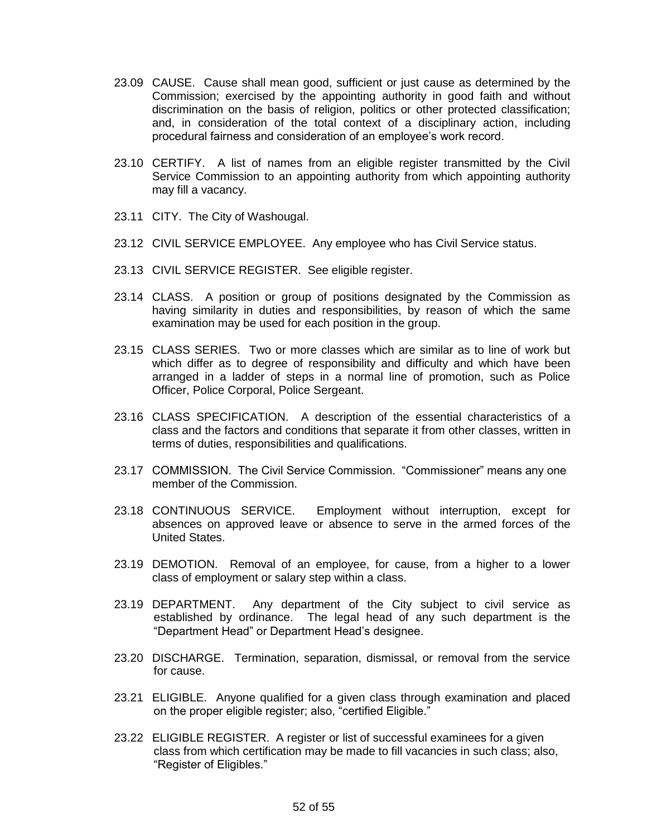- 23.09 CAUSE. Cause shall mean good, sufficient or just cause as determined by the Commission; exercised by the appointing authority in good faith and without discrimination on the basis of religion, politics or other protected classification; and, in consideration of the total context of a disciplinary action, including procedural fairness and consideration of an employee's work record.
- 23.10 CERTIFY. A list of names from an eligible register transmitted by the Civil Service Commission to an appointing authority from which appointing authority may fill a vacancy.
- 23.11 CITY. The City of Washougal.
- 23.12 CIVIL SERVICE EMPLOYEE. Any employee who has Civil Service status.
- 23.13 CIVIL SERVICE REGISTER. See eligible register.
- 23.14 CLASS. A position or group of positions designated by the Commission as having similarity in duties and responsibilities, by reason of which the same examination may be used for each position in the group.
- 23.15 CLASS SERIES. Two or more classes which are similar as to line of work but which differ as to degree of responsibility and difficulty and which have been arranged in a ladder of steps in a normal line of promotion, such as Police Officer, Police Corporal, Police Sergeant.
- 23.16 CLASS SPECIFICATION. A description of the essential characteristics of a class and the factors and conditions that separate it from other classes, written in terms of duties, responsibilities and qualifications.
- 23.17 COMMISSION. The Civil Service Commission. "Commissioner" means any one member of the Commission.
- 23.18 CONTINUOUS SERVICE. Employment without interruption, except for absences on approved leave or absence to serve in the armed forces of the United States.
- 23.19 DEMOTION. Removal of an employee, for cause, from a higher to a lower class of employment or salary step within a class.
- 23.19 DEPARTMENT. Any department of the City subject to civil service as established by ordinance. The legal head of any such department is the "Department Head" or Department Head's designee.
- 23.20 DISCHARGE. Termination, separation, dismissal, or removal from the service for cause.
- 23.21 ELIGIBLE. Anyone qualified for a given class through examination and placed on the proper eligible register; also, "certified Eligible."
- 23.22 ELIGIBLE REGISTER. A register or list of successful examinees for a given class from which certification may be made to fill vacancies in such class; also, "Register of Eligibles."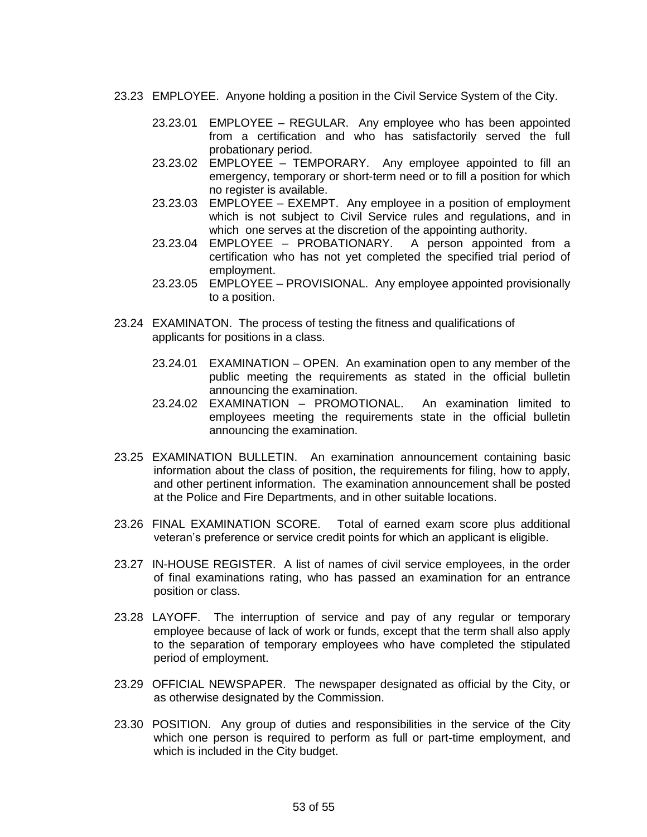- 23.23 EMPLOYEE. Anyone holding a position in the Civil Service System of the City.
	- 23.23.01 EMPLOYEE REGULAR. Any employee who has been appointed from a certification and who has satisfactorily served the full probationary period.
	- 23.23.02 EMPLOYEE TEMPORARY. Any employee appointed to fill an emergency, temporary or short-term need or to fill a position for which no register is available.
	- 23.23.03 EMPLOYEE EXEMPT. Any employee in a position of employment which is not subject to Civil Service rules and regulations, and in which one serves at the discretion of the appointing authority.
	- 23.23.04 EMPLOYEE PROBATIONARY. A person appointed from a certification who has not yet completed the specified trial period of employment.
	- 23.23.05 EMPLOYEE PROVISIONAL. Any employee appointed provisionally to a position.
- 23.24 EXAMINATON. The process of testing the fitness and qualifications of applicants for positions in a class.
	- 23.24.01 EXAMINATION OPEN. An examination open to any member of the public meeting the requirements as stated in the official bulletin announcing the examination.
	- 23.24.02 EXAMINATION PROMOTIONAL. An examination limited to employees meeting the requirements state in the official bulletin announcing the examination.
- 23.25 EXAMINATION BULLETIN. An examination announcement containing basic information about the class of position, the requirements for filing, how to apply, and other pertinent information. The examination announcement shall be posted at the Police and Fire Departments, and in other suitable locations.
- 23.26 FINAL EXAMINATION SCORE. Total of earned exam score plus additional veteran's preference or service credit points for which an applicant is eligible.
- 23.27 IN-HOUSE REGISTER. A list of names of civil service employees, in the order of final examinations rating, who has passed an examination for an entrance position or class.
- 23.28 LAYOFF. The interruption of service and pay of any regular or temporary employee because of lack of work or funds, except that the term shall also apply to the separation of temporary employees who have completed the stipulated period of employment.
- 23.29 OFFICIAL NEWSPAPER. The newspaper designated as official by the City, or as otherwise designated by the Commission.
- 23.30 POSITION. Any group of duties and responsibilities in the service of the City which one person is required to perform as full or part-time employment, and which is included in the City budget.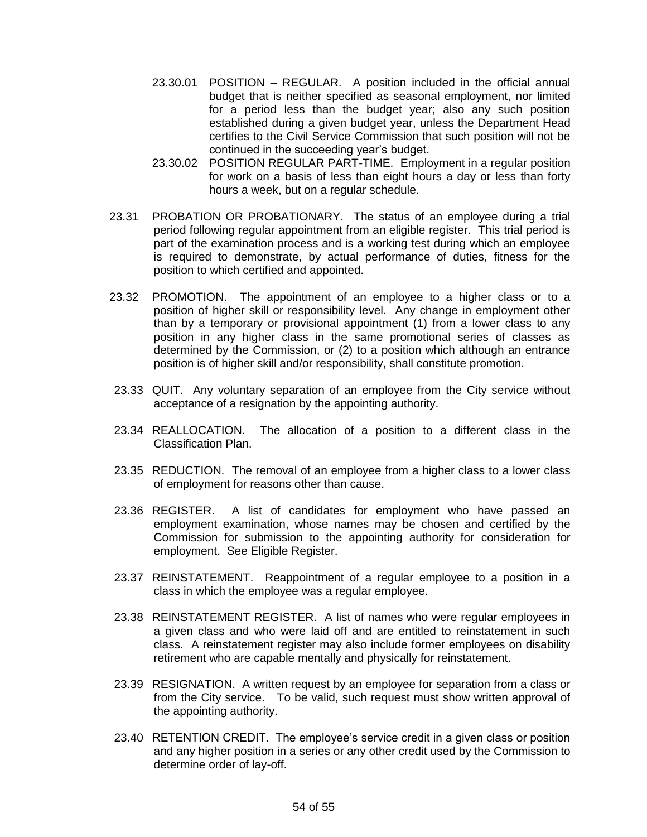- 23.30.01 POSITION REGULAR. A position included in the official annual budget that is neither specified as seasonal employment, nor limited for a period less than the budget year; also any such position established during a given budget year, unless the Department Head certifies to the Civil Service Commission that such position will not be continued in the succeeding year's budget.
- 23.30.02 POSITION REGULAR PART-TIME. Employment in a regular position for work on a basis of less than eight hours a day or less than forty hours a week, but on a regular schedule.
- 23.31 PROBATION OR PROBATIONARY. The status of an employee during a trial period following regular appointment from an eligible register. This trial period is part of the examination process and is a working test during which an employee is required to demonstrate, by actual performance of duties, fitness for the position to which certified and appointed.
- 23.32 PROMOTION. The appointment of an employee to a higher class or to a position of higher skill or responsibility level. Any change in employment other than by a temporary or provisional appointment (1) from a lower class to any position in any higher class in the same promotional series of classes as determined by the Commission, or (2) to a position which although an entrance position is of higher skill and/or responsibility, shall constitute promotion.
- 23.33 QUIT. Any voluntary separation of an employee from the City service without acceptance of a resignation by the appointing authority.
- 23.34 REALLOCATION. The allocation of a position to a different class in the Classification Plan.
- 23.35 REDUCTION. The removal of an employee from a higher class to a lower class of employment for reasons other than cause.
- 23.36 REGISTER. A list of candidates for employment who have passed an employment examination, whose names may be chosen and certified by the Commission for submission to the appointing authority for consideration for employment. See Eligible Register.
- 23.37 REINSTATEMENT. Reappointment of a regular employee to a position in a class in which the employee was a regular employee.
- 23.38 REINSTATEMENT REGISTER. A list of names who were regular employees in a given class and who were laid off and are entitled to reinstatement in such class. A reinstatement register may also include former employees on disability retirement who are capable mentally and physically for reinstatement.
- 23.39 RESIGNATION. A written request by an employee for separation from a class or from the City service. To be valid, such request must show written approval of the appointing authority.
- 23.40 RETENTION CREDIT. The employee's service credit in a given class or position and any higher position in a series or any other credit used by the Commission to determine order of lay-off.